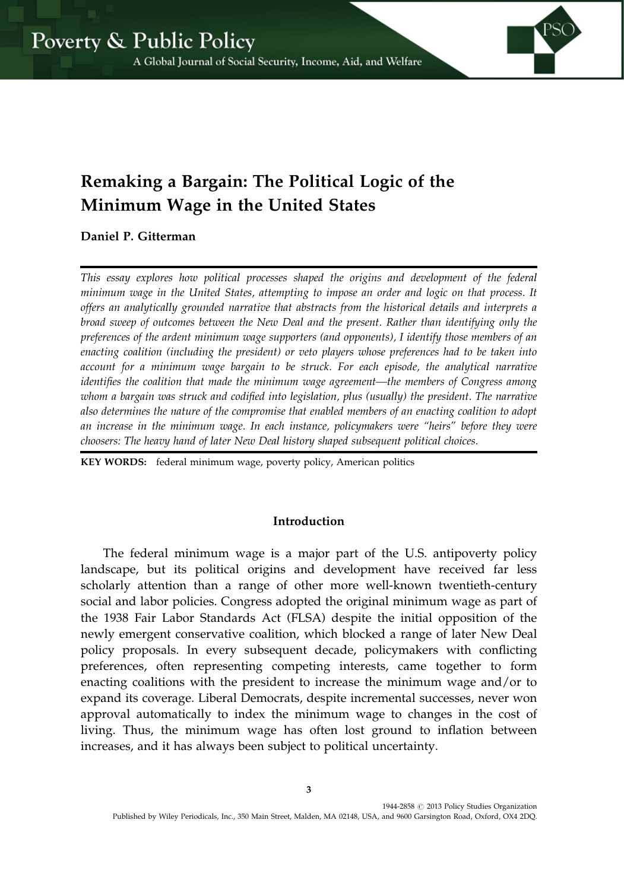# Remaking a Bargain: The Political Logic of the Minimum Wage in the United States

Daniel P. Gitterman

This essay explores how political processes shaped the origins and development of the federal minimum wage in the United States, attempting to impose an order and logic on that process. It offers an analytically grounded narrative that abstracts from the historical details and interprets a broad sweep of outcomes between the New Deal and the present. Rather than identifying only the preferences of the ardent minimum wage supporters (and opponents), I identify those members of an enacting coalition (including the president) or veto players whose preferences had to be taken into account for a minimum wage bargain to be struck. For each episode, the analytical narrative identifies the coalition that made the minimum wage agreement—the members of Congress among whom a bargain was struck and codified into legislation, plus (usually) the president. The narrative also determines the nature of the compromise that enabled members of an enacting coalition to adopt an increase in the minimum wage. In each instance, policymakers were "heirs" before they were choosers: The heavy hand of later New Deal history shaped subsequent political choices.

KEY WORDS: federal minimum wage, poverty policy, American politics

# Introduction

The federal minimum wage is a major part of the U.S. antipoverty policy landscape, but its political origins and development have received far less scholarly attention than a range of other more well-known twentieth-century social and labor policies. Congress adopted the original minimum wage as part of the 1938 Fair Labor Standards Act (FLSA) despite the initial opposition of the newly emergent conservative coalition, which blocked a range of later New Deal policy proposals. In every subsequent decade, policymakers with conflicting preferences, often representing competing interests, came together to form enacting coalitions with the president to increase the minimum wage and/or to expand its coverage. Liberal Democrats, despite incremental successes, never won approval automatically to index the minimum wage to changes in the cost of living. Thus, the minimum wage has often lost ground to inflation between increases, and it has always been subject to political uncertainty.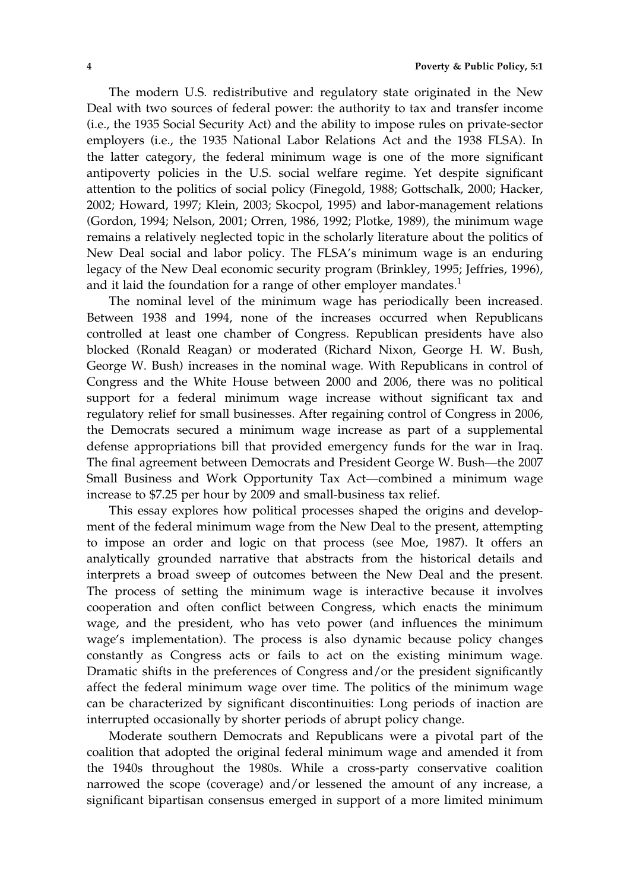The modern U.S. redistributive and regulatory state originated in the New Deal with two sources of federal power: the authority to tax and transfer income (i.e., the 1935 Social Security Act) and the ability to impose rules on private-sector employers (i.e., the 1935 National Labor Relations Act and the 1938 FLSA). In the latter category, the federal minimum wage is one of the more significant antipoverty policies in the U.S. social welfare regime. Yet despite significant attention to the politics of social policy (Finegold, 1988; Gottschalk, 2000; Hacker, 2002; Howard, 1997; Klein, 2003; Skocpol, 1995) and labor-management relations (Gordon, 1994; Nelson, 2001; Orren, 1986, 1992; Plotke, 1989), the minimum wage remains a relatively neglected topic in the scholarly literature about the politics of New Deal social and labor policy. The FLSA's minimum wage is an enduring legacy of the New Deal economic security program (Brinkley, 1995; Jeffries, 1996), and it laid the foundation for a range of other employer mandates. $<sup>1</sup>$ </sup>

The nominal level of the minimum wage has periodically been increased. Between 1938 and 1994, none of the increases occurred when Republicans controlled at least one chamber of Congress. Republican presidents have also blocked (Ronald Reagan) or moderated (Richard Nixon, George H. W. Bush, George W. Bush) increases in the nominal wage. With Republicans in control of Congress and the White House between 2000 and 2006, there was no political support for a federal minimum wage increase without significant tax and regulatory relief for small businesses. After regaining control of Congress in 2006, the Democrats secured a minimum wage increase as part of a supplemental defense appropriations bill that provided emergency funds for the war in Iraq. The final agreement between Democrats and President George W. Bush—the 2007 Small Business and Work Opportunity Tax Act—combined a minimum wage increase to \$7.25 per hour by 2009 and small-business tax relief.

This essay explores how political processes shaped the origins and development of the federal minimum wage from the New Deal to the present, attempting to impose an order and logic on that process (see Moe, 1987). It offers an analytically grounded narrative that abstracts from the historical details and interprets a broad sweep of outcomes between the New Deal and the present. The process of setting the minimum wage is interactive because it involves cooperation and often conflict between Congress, which enacts the minimum wage, and the president, who has veto power (and influences the minimum wage's implementation). The process is also dynamic because policy changes constantly as Congress acts or fails to act on the existing minimum wage. Dramatic shifts in the preferences of Congress and/or the president significantly affect the federal minimum wage over time. The politics of the minimum wage can be characterized by significant discontinuities: Long periods of inaction are interrupted occasionally by shorter periods of abrupt policy change.

Moderate southern Democrats and Republicans were a pivotal part of the coalition that adopted the original federal minimum wage and amended it from the 1940s throughout the 1980s. While a cross-party conservative coalition narrowed the scope (coverage) and/or lessened the amount of any increase, a significant bipartisan consensus emerged in support of a more limited minimum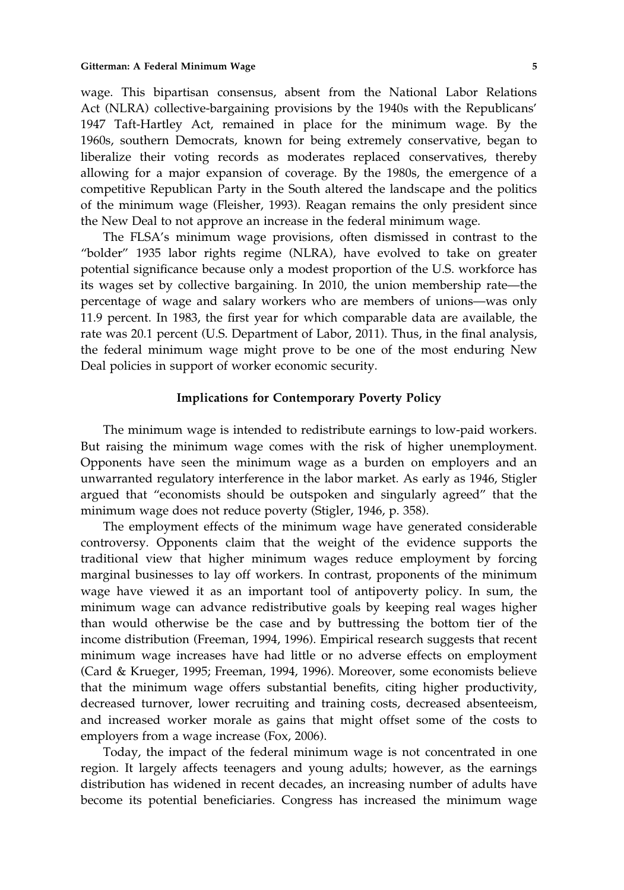wage. This bipartisan consensus, absent from the National Labor Relations Act (NLRA) collective-bargaining provisions by the 1940s with the Republicans' 1947 Taft-Hartley Act, remained in place for the minimum wage. By the 1960s, southern Democrats, known for being extremely conservative, began to liberalize their voting records as moderates replaced conservatives, thereby allowing for a major expansion of coverage. By the 1980s, the emergence of a competitive Republican Party in the South altered the landscape and the politics of the minimum wage (Fleisher, 1993). Reagan remains the only president since the New Deal to not approve an increase in the federal minimum wage.

The FLSA's minimum wage provisions, often dismissed in contrast to the "bolder" 1935 labor rights regime (NLRA), have evolved to take on greater potential significance because only a modest proportion of the U.S. workforce has its wages set by collective bargaining. In 2010, the union membership rate—the percentage of wage and salary workers who are members of unions—was only 11.9 percent. In 1983, the first year for which comparable data are available, the rate was 20.1 percent (U.S. Department of Labor, 2011). Thus, in the final analysis, the federal minimum wage might prove to be one of the most enduring New Deal policies in support of worker economic security.

# Implications for Contemporary Poverty Policy

The minimum wage is intended to redistribute earnings to low-paid workers. But raising the minimum wage comes with the risk of higher unemployment. Opponents have seen the minimum wage as a burden on employers and an unwarranted regulatory interference in the labor market. As early as 1946, Stigler argued that "economists should be outspoken and singularly agreed" that the minimum wage does not reduce poverty (Stigler, 1946, p. 358).

The employment effects of the minimum wage have generated considerable controversy. Opponents claim that the weight of the evidence supports the traditional view that higher minimum wages reduce employment by forcing marginal businesses to lay off workers. In contrast, proponents of the minimum wage have viewed it as an important tool of antipoverty policy. In sum, the minimum wage can advance redistributive goals by keeping real wages higher than would otherwise be the case and by buttressing the bottom tier of the income distribution (Freeman, 1994, 1996). Empirical research suggests that recent minimum wage increases have had little or no adverse effects on employment (Card & Krueger, 1995; Freeman, 1994, 1996). Moreover, some economists believe that the minimum wage offers substantial benefits, citing higher productivity, decreased turnover, lower recruiting and training costs, decreased absenteeism, and increased worker morale as gains that might offset some of the costs to employers from a wage increase (Fox, 2006).

Today, the impact of the federal minimum wage is not concentrated in one region. It largely affects teenagers and young adults; however, as the earnings distribution has widened in recent decades, an increasing number of adults have become its potential beneficiaries. Congress has increased the minimum wage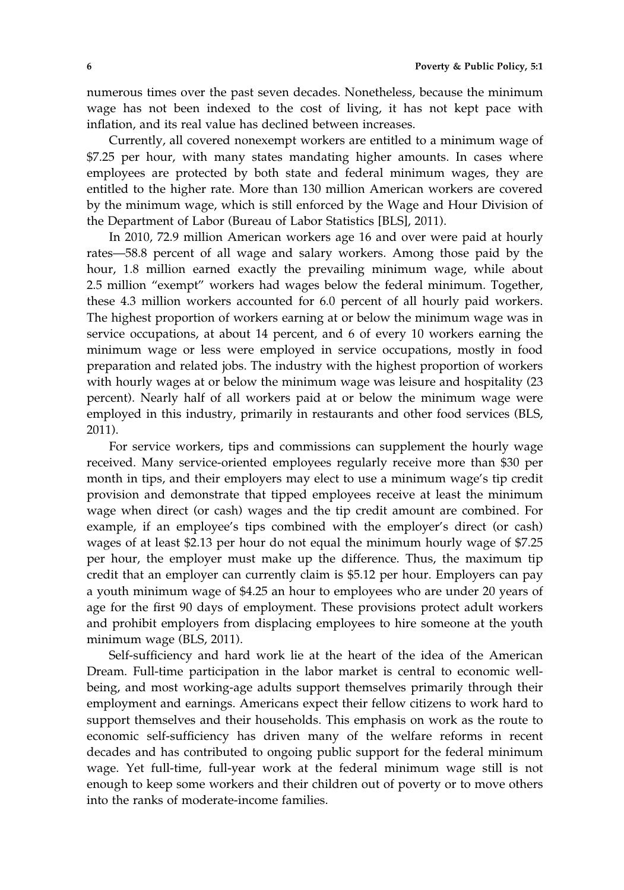numerous times over the past seven decades. Nonetheless, because the minimum wage has not been indexed to the cost of living, it has not kept pace with inflation, and its real value has declined between increases.

Currently, all covered nonexempt workers are entitled to a minimum wage of \$7.25 per hour, with many states mandating higher amounts. In cases where employees are protected by both state and federal minimum wages, they are entitled to the higher rate. More than 130 million American workers are covered by the minimum wage, which is still enforced by the Wage and Hour Division of the Department of Labor (Bureau of Labor Statistics [BLS], 2011).

In 2010, 72.9 million American workers age 16 and over were paid at hourly rates—58.8 percent of all wage and salary workers. Among those paid by the hour, 1.8 million earned exactly the prevailing minimum wage, while about 2.5 million "exempt" workers had wages below the federal minimum. Together, these 4.3 million workers accounted for 6.0 percent of all hourly paid workers. The highest proportion of workers earning at or below the minimum wage was in service occupations, at about 14 percent, and 6 of every 10 workers earning the minimum wage or less were employed in service occupations, mostly in food preparation and related jobs. The industry with the highest proportion of workers with hourly wages at or below the minimum wage was leisure and hospitality (23 percent). Nearly half of all workers paid at or below the minimum wage were employed in this industry, primarily in restaurants and other food services (BLS, 2011).

For service workers, tips and commissions can supplement the hourly wage received. Many service-oriented employees regularly receive more than \$30 per month in tips, and their employers may elect to use a minimum wage's tip credit provision and demonstrate that tipped employees receive at least the minimum wage when direct (or cash) wages and the tip credit amount are combined. For example, if an employee's tips combined with the employer's direct (or cash) wages of at least \$2.13 per hour do not equal the minimum hourly wage of \$7.25 per hour, the employer must make up the difference. Thus, the maximum tip credit that an employer can currently claim is \$5.12 per hour. Employers can pay a youth minimum wage of \$4.25 an hour to employees who are under 20 years of age for the first 90 days of employment. These provisions protect adult workers and prohibit employers from displacing employees to hire someone at the youth minimum wage (BLS, 2011).

Self-sufficiency and hard work lie at the heart of the idea of the American Dream. Full-time participation in the labor market is central to economic wellbeing, and most working-age adults support themselves primarily through their employment and earnings. Americans expect their fellow citizens to work hard to support themselves and their households. This emphasis on work as the route to economic self-sufficiency has driven many of the welfare reforms in recent decades and has contributed to ongoing public support for the federal minimum wage. Yet full-time, full-year work at the federal minimum wage still is not enough to keep some workers and their children out of poverty or to move others into the ranks of moderate-income families.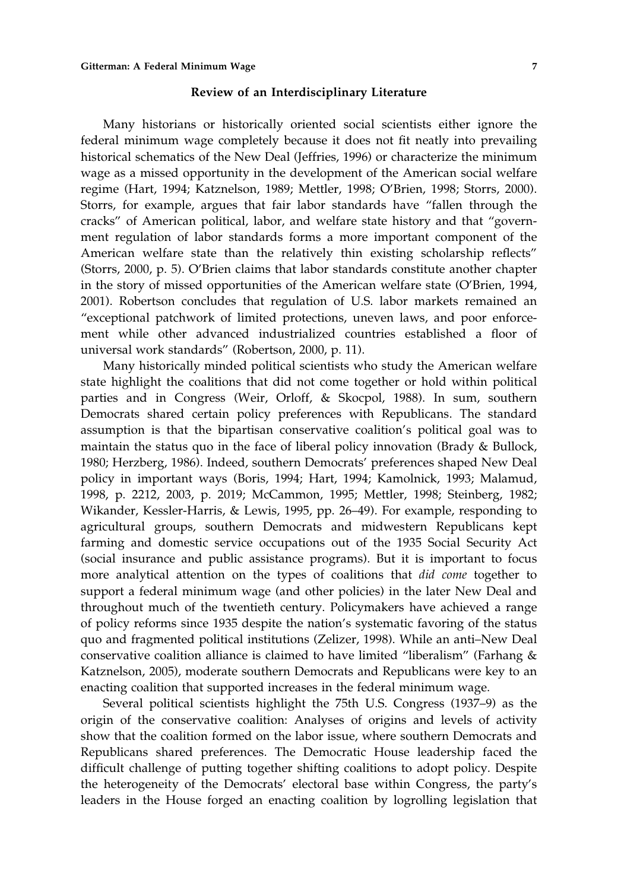# Review of an Interdisciplinary Literature

Many historians or historically oriented social scientists either ignore the federal minimum wage completely because it does not fit neatly into prevailing historical schematics of the New Deal (Jeffries, 1996) or characterize the minimum wage as a missed opportunity in the development of the American social welfare regime (Hart, 1994; Katznelson, 1989; Mettler, 1998; O'Brien, 1998; Storrs, 2000). Storrs, for example, argues that fair labor standards have "fallen through the cracks" of American political, labor, and welfare state history and that "government regulation of labor standards forms a more important component of the American welfare state than the relatively thin existing scholarship reflects" (Storrs, 2000, p. 5). O'Brien claims that labor standards constitute another chapter in the story of missed opportunities of the American welfare state (O'Brien, 1994, 2001). Robertson concludes that regulation of U.S. labor markets remained an "exceptional patchwork of limited protections, uneven laws, and poor enforcement while other advanced industrialized countries established a floor of universal work standards" (Robertson, 2000, p. 11).

Many historically minded political scientists who study the American welfare state highlight the coalitions that did not come together or hold within political parties and in Congress (Weir, Orloff, & Skocpol, 1988). In sum, southern Democrats shared certain policy preferences with Republicans. The standard assumption is that the bipartisan conservative coalition's political goal was to maintain the status quo in the face of liberal policy innovation (Brady & Bullock, 1980; Herzberg, 1986). Indeed, southern Democrats' preferences shaped New Deal policy in important ways (Boris, 1994; Hart, 1994; Kamolnick, 1993; Malamud, 1998, p. 2212, 2003, p. 2019; McCammon, 1995; Mettler, 1998; Steinberg, 1982; Wikander, Kessler-Harris, & Lewis, 1995, pp. 26–49). For example, responding to agricultural groups, southern Democrats and midwestern Republicans kept farming and domestic service occupations out of the 1935 Social Security Act (social insurance and public assistance programs). But it is important to focus more analytical attention on the types of coalitions that did come together to support a federal minimum wage (and other policies) in the later New Deal and throughout much of the twentieth century. Policymakers have achieved a range of policy reforms since 1935 despite the nation's systematic favoring of the status quo and fragmented political institutions (Zelizer, 1998). While an anti–New Deal conservative coalition alliance is claimed to have limited "liberalism" (Farhang & Katznelson, 2005), moderate southern Democrats and Republicans were key to an enacting coalition that supported increases in the federal minimum wage.

Several political scientists highlight the 75th U.S. Congress (1937–9) as the origin of the conservative coalition: Analyses of origins and levels of activity show that the coalition formed on the labor issue, where southern Democrats and Republicans shared preferences. The Democratic House leadership faced the difficult challenge of putting together shifting coalitions to adopt policy. Despite the heterogeneity of the Democrats' electoral base within Congress, the party's leaders in the House forged an enacting coalition by logrolling legislation that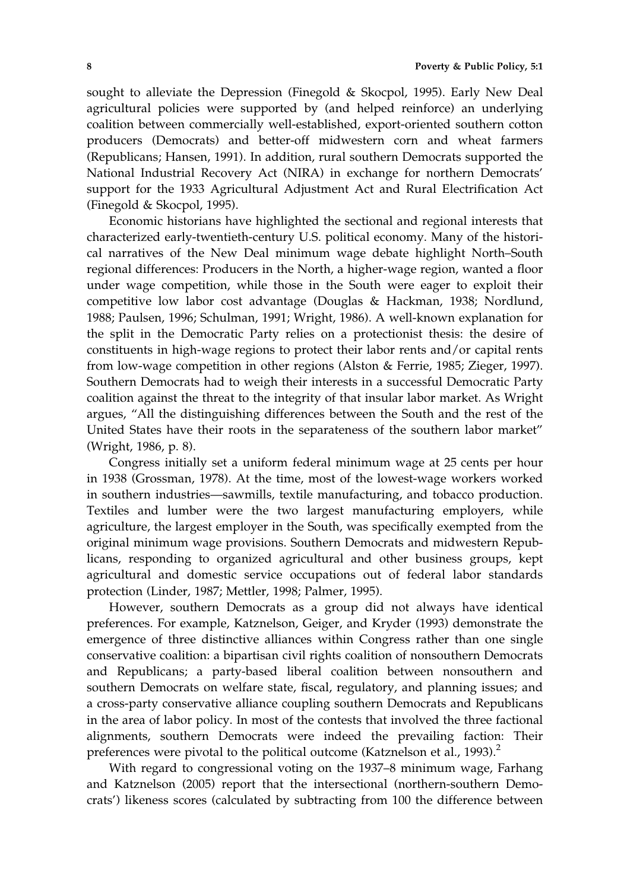sought to alleviate the Depression (Finegold & Skocpol, 1995). Early New Deal agricultural policies were supported by (and helped reinforce) an underlying coalition between commercially well-established, export-oriented southern cotton producers (Democrats) and better-off midwestern corn and wheat farmers (Republicans; Hansen, 1991). In addition, rural southern Democrats supported the National Industrial Recovery Act (NIRA) in exchange for northern Democrats' support for the 1933 Agricultural Adjustment Act and Rural Electrification Act (Finegold & Skocpol, 1995).

Economic historians have highlighted the sectional and regional interests that characterized early-twentieth-century U.S. political economy. Many of the historical narratives of the New Deal minimum wage debate highlight North–South regional differences: Producers in the North, a higher-wage region, wanted a floor under wage competition, while those in the South were eager to exploit their competitive low labor cost advantage (Douglas & Hackman, 1938; Nordlund, 1988; Paulsen, 1996; Schulman, 1991; Wright, 1986). A well-known explanation for the split in the Democratic Party relies on a protectionist thesis: the desire of constituents in high-wage regions to protect their labor rents and/or capital rents from low-wage competition in other regions (Alston & Ferrie, 1985; Zieger, 1997). Southern Democrats had to weigh their interests in a successful Democratic Party coalition against the threat to the integrity of that insular labor market. As Wright argues, "All the distinguishing differences between the South and the rest of the United States have their roots in the separateness of the southern labor market" (Wright, 1986, p. 8).

Congress initially set a uniform federal minimum wage at 25 cents per hour in 1938 (Grossman, 1978). At the time, most of the lowest-wage workers worked in southern industries—sawmills, textile manufacturing, and tobacco production. Textiles and lumber were the two largest manufacturing employers, while agriculture, the largest employer in the South, was specifically exempted from the original minimum wage provisions. Southern Democrats and midwestern Republicans, responding to organized agricultural and other business groups, kept agricultural and domestic service occupations out of federal labor standards protection (Linder, 1987; Mettler, 1998; Palmer, 1995).

However, southern Democrats as a group did not always have identical preferences. For example, Katznelson, Geiger, and Kryder (1993) demonstrate the emergence of three distinctive alliances within Congress rather than one single conservative coalition: a bipartisan civil rights coalition of nonsouthern Democrats and Republicans; a party-based liberal coalition between nonsouthern and southern Democrats on welfare state, fiscal, regulatory, and planning issues; and a cross-party conservative alliance coupling southern Democrats and Republicans in the area of labor policy. In most of the contests that involved the three factional alignments, southern Democrats were indeed the prevailing faction: Their preferences were pivotal to the political outcome (Katznelson et al., 1993).<sup>2</sup>

With regard to congressional voting on the 1937–8 minimum wage, Farhang and Katznelson (2005) report that the intersectional (northern-southern Democrats') likeness scores (calculated by subtracting from 100 the difference between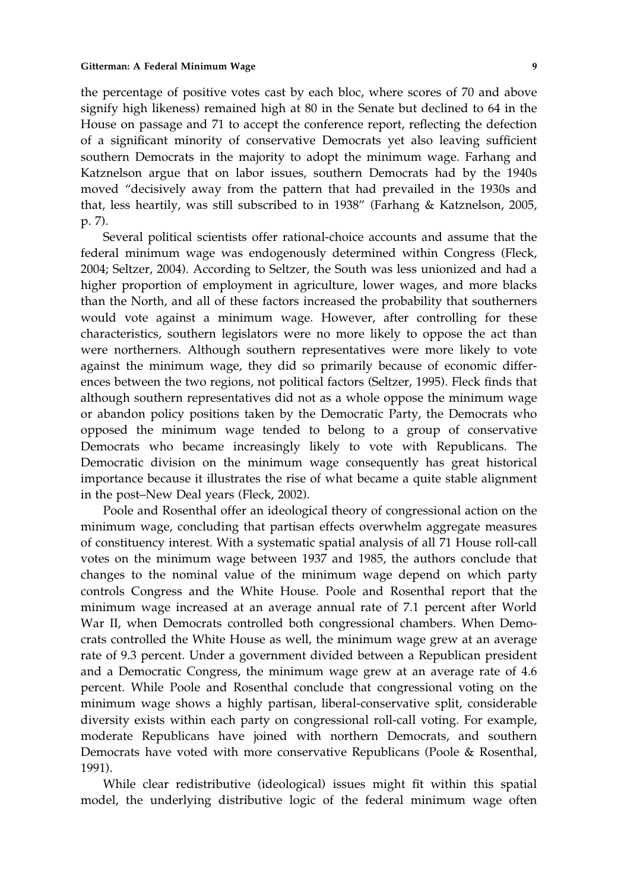the percentage of positive votes cast by each bloc, where scores of 70 and above signify high likeness) remained high at 80 in the Senate but declined to 64 in the House on passage and 71 to accept the conference report, reflecting the defection of a significant minority of conservative Democrats yet also leaving sufficient southern Democrats in the majority to adopt the minimum wage. Farhang and Katznelson argue that on labor issues, southern Democrats had by the 1940s moved "decisively away from the pattern that had prevailed in the 1930s and that, less heartily, was still subscribed to in 1938" (Farhang & Katznelson, 2005, p. 7).

Several political scientists offer rational-choice accounts and assume that the federal minimum wage was endogenously determined within Congress (Fleck, 2004; Seltzer, 2004). According to Seltzer, the South was less unionized and had a higher proportion of employment in agriculture, lower wages, and more blacks than the North, and all of these factors increased the probability that southerners would vote against a minimum wage. However, after controlling for these characteristics, southern legislators were no more likely to oppose the act than were northerners. Although southern representatives were more likely to vote against the minimum wage, they did so primarily because of economic differences between the two regions, not political factors (Seltzer, 1995). Fleck finds that although southern representatives did not as a whole oppose the minimum wage or abandon policy positions taken by the Democratic Party, the Democrats who opposed the minimum wage tended to belong to a group of conservative Democrats who became increasingly likely to vote with Republicans. The Democratic division on the minimum wage consequently has great historical importance because it illustrates the rise of what became a quite stable alignment in the post–New Deal years (Fleck, 2002).

Poole and Rosenthal offer an ideological theory of congressional action on the minimum wage, concluding that partisan effects overwhelm aggregate measures of constituency interest. With a systematic spatial analysis of all 71 House roll-call votes on the minimum wage between 1937 and 1985, the authors conclude that changes to the nominal value of the minimum wage depend on which party controls Congress and the White House. Poole and Rosenthal report that the minimum wage increased at an average annual rate of 7.1 percent after World War II, when Democrats controlled both congressional chambers. When Democrats controlled the White House as well, the minimum wage grew at an average rate of 9.3 percent. Under a government divided between a Republican president and a Democratic Congress, the minimum wage grew at an average rate of 4.6 percent. While Poole and Rosenthal conclude that congressional voting on the minimum wage shows a highly partisan, liberal-conservative split, considerable diversity exists within each party on congressional roll-call voting. For example, moderate Republicans have joined with northern Democrats, and southern Democrats have voted with more conservative Republicans (Poole & Rosenthal, 1991).

While clear redistributive (ideological) issues might fit within this spatial model, the underlying distributive logic of the federal minimum wage often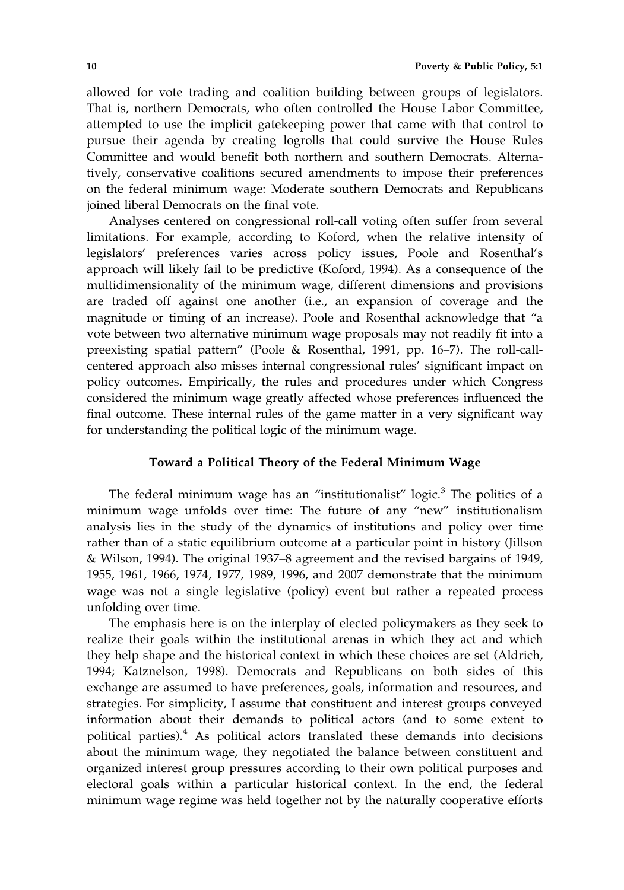allowed for vote trading and coalition building between groups of legislators. That is, northern Democrats, who often controlled the House Labor Committee, attempted to use the implicit gatekeeping power that came with that control to pursue their agenda by creating logrolls that could survive the House Rules Committee and would benefit both northern and southern Democrats. Alternatively, conservative coalitions secured amendments to impose their preferences on the federal minimum wage: Moderate southern Democrats and Republicans joined liberal Democrats on the final vote.

Analyses centered on congressional roll-call voting often suffer from several limitations. For example, according to Koford, when the relative intensity of legislators' preferences varies across policy issues, Poole and Rosenthal's approach will likely fail to be predictive (Koford, 1994). As a consequence of the multidimensionality of the minimum wage, different dimensions and provisions are traded off against one another (i.e., an expansion of coverage and the magnitude or timing of an increase). Poole and Rosenthal acknowledge that "a vote between two alternative minimum wage proposals may not readily fit into a preexisting spatial pattern" (Poole & Rosenthal, 1991, pp. 16–7). The roll-callcentered approach also misses internal congressional rules' significant impact on policy outcomes. Empirically, the rules and procedures under which Congress considered the minimum wage greatly affected whose preferences influenced the final outcome. These internal rules of the game matter in a very significant way for understanding the political logic of the minimum wage.

# Toward a Political Theory of the Federal Minimum Wage

The federal minimum wage has an "institutionalist" logic.<sup>3</sup> The politics of a minimum wage unfolds over time: The future of any "new" institutionalism analysis lies in the study of the dynamics of institutions and policy over time rather than of a static equilibrium outcome at a particular point in history (Jillson & Wilson, 1994). The original 1937–8 agreement and the revised bargains of 1949, 1955, 1961, 1966, 1974, 1977, 1989, 1996, and 2007 demonstrate that the minimum wage was not a single legislative (policy) event but rather a repeated process unfolding over time.

The emphasis here is on the interplay of elected policymakers as they seek to realize their goals within the institutional arenas in which they act and which they help shape and the historical context in which these choices are set (Aldrich, 1994; Katznelson, 1998). Democrats and Republicans on both sides of this exchange are assumed to have preferences, goals, information and resources, and strategies. For simplicity, I assume that constituent and interest groups conveyed information about their demands to political actors (and to some extent to political parties).<sup>4</sup> As political actors translated these demands into decisions about the minimum wage, they negotiated the balance between constituent and organized interest group pressures according to their own political purposes and electoral goals within a particular historical context. In the end, the federal minimum wage regime was held together not by the naturally cooperative efforts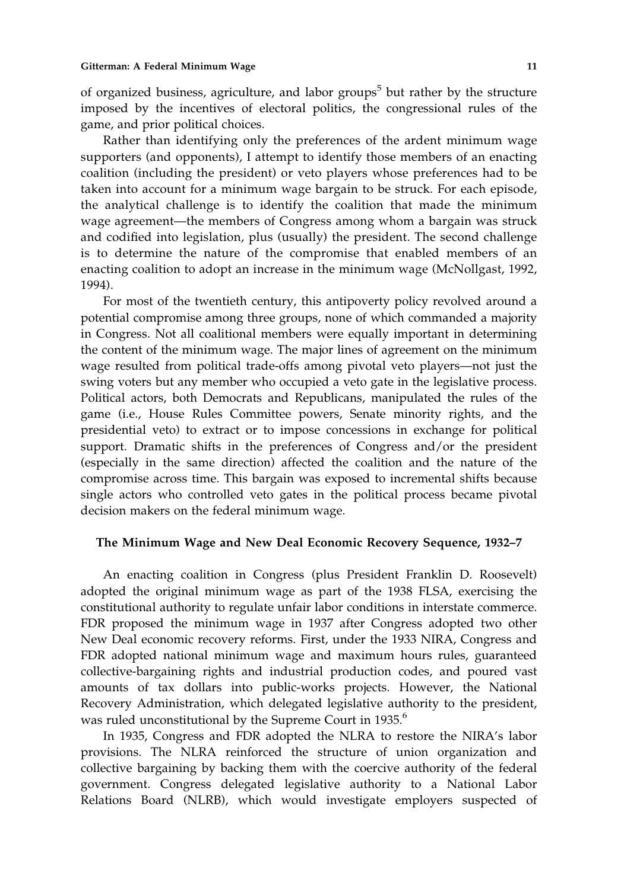### Gitterman: A Federal Minimum Wage 11 and the state of the state of the 11 and 11 and 11 and 11 and 11 and 11 and 11 and 11 and 11 and 11 and 11 and 11 and 11 and 11 and 11 and 11 and 12 and 12 and 12 and 12 and 12 and 12 a

of organized business, agriculture, and labor groups<sup>5</sup> but rather by the structure imposed by the incentives of electoral politics, the congressional rules of the game, and prior political choices.

Rather than identifying only the preferences of the ardent minimum wage supporters (and opponents), I attempt to identify those members of an enacting coalition (including the president) or veto players whose preferences had to be taken into account for a minimum wage bargain to be struck. For each episode, the analytical challenge is to identify the coalition that made the minimum wage agreement—the members of Congress among whom a bargain was struck and codified into legislation, plus (usually) the president. The second challenge is to determine the nature of the compromise that enabled members of an enacting coalition to adopt an increase in the minimum wage (McNollgast, 1992, 1994).

For most of the twentieth century, this antipoverty policy revolved around a potential compromise among three groups, none of which commanded a majority in Congress. Not all coalitional members were equally important in determining the content of the minimum wage. The major lines of agreement on the minimum wage resulted from political trade-offs among pivotal veto players—not just the swing voters but any member who occupied a veto gate in the legislative process. Political actors, both Democrats and Republicans, manipulated the rules of the game (i.e., House Rules Committee powers, Senate minority rights, and the presidential veto) to extract or to impose concessions in exchange for political support. Dramatic shifts in the preferences of Congress and/or the president (especially in the same direction) affected the coalition and the nature of the compromise across time. This bargain was exposed to incremental shifts because single actors who controlled veto gates in the political process became pivotal decision makers on the federal minimum wage.

# The Minimum Wage and New Deal Economic Recovery Sequence, 1932–7

An enacting coalition in Congress (plus President Franklin D. Roosevelt) adopted the original minimum wage as part of the 1938 FLSA, exercising the constitutional authority to regulate unfair labor conditions in interstate commerce. FDR proposed the minimum wage in 1937 after Congress adopted two other New Deal economic recovery reforms. First, under the 1933 NIRA, Congress and FDR adopted national minimum wage and maximum hours rules, guaranteed collective-bargaining rights and industrial production codes, and poured vast amounts of tax dollars into public-works projects. However, the National Recovery Administration, which delegated legislative authority to the president, was ruled unconstitutional by the Supreme Court in 1935.<sup>6</sup>

In 1935, Congress and FDR adopted the NLRA to restore the NIRA's labor provisions. The NLRA reinforced the structure of union organization and collective bargaining by backing them with the coercive authority of the federal government. Congress delegated legislative authority to a National Labor Relations Board (NLRB), which would investigate employers suspected of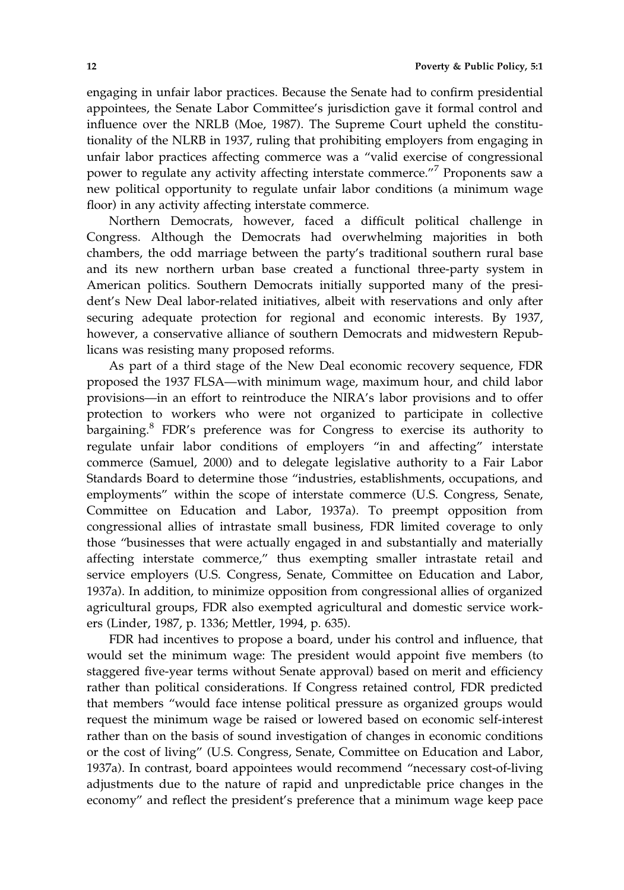engaging in unfair labor practices. Because the Senate had to confirm presidential appointees, the Senate Labor Committee's jurisdiction gave it formal control and influence over the NRLB (Moe, 1987). The Supreme Court upheld the constitutionality of the NLRB in 1937, ruling that prohibiting employers from engaging in unfair labor practices affecting commerce was a "valid exercise of congressional power to regulate any activity affecting interstate commerce."<sup>7</sup> Proponents saw a new political opportunity to regulate unfair labor conditions (a minimum wage floor) in any activity affecting interstate commerce.

Northern Democrats, however, faced a difficult political challenge in Congress. Although the Democrats had overwhelming majorities in both chambers, the odd marriage between the party's traditional southern rural base and its new northern urban base created a functional three-party system in American politics. Southern Democrats initially supported many of the president's New Deal labor-related initiatives, albeit with reservations and only after securing adequate protection for regional and economic interests. By 1937, however, a conservative alliance of southern Democrats and midwestern Republicans was resisting many proposed reforms.

As part of a third stage of the New Deal economic recovery sequence, FDR proposed the 1937 FLSA—with minimum wage, maximum hour, and child labor provisions—in an effort to reintroduce the NIRA's labor provisions and to offer protection to workers who were not organized to participate in collective bargaining.<sup>8</sup> FDR's preference was for Congress to exercise its authority to regulate unfair labor conditions of employers "in and affecting" interstate commerce (Samuel, 2000) and to delegate legislative authority to a Fair Labor Standards Board to determine those "industries, establishments, occupations, and employments" within the scope of interstate commerce (U.S. Congress, Senate, Committee on Education and Labor, 1937a). To preempt opposition from congressional allies of intrastate small business, FDR limited coverage to only those "businesses that were actually engaged in and substantially and materially affecting interstate commerce," thus exempting smaller intrastate retail and service employers (U.S. Congress, Senate, Committee on Education and Labor, 1937a). In addition, to minimize opposition from congressional allies of organized agricultural groups, FDR also exempted agricultural and domestic service workers (Linder, 1987, p. 1336; Mettler, 1994, p. 635).

FDR had incentives to propose a board, under his control and influence, that would set the minimum wage: The president would appoint five members (to staggered five-year terms without Senate approval) based on merit and efficiency rather than political considerations. If Congress retained control, FDR predicted that members "would face intense political pressure as organized groups would request the minimum wage be raised or lowered based on economic self-interest rather than on the basis of sound investigation of changes in economic conditions or the cost of living" (U.S. Congress, Senate, Committee on Education and Labor, 1937a). In contrast, board appointees would recommend "necessary cost-of-living adjustments due to the nature of rapid and unpredictable price changes in the economy" and reflect the president's preference that a minimum wage keep pace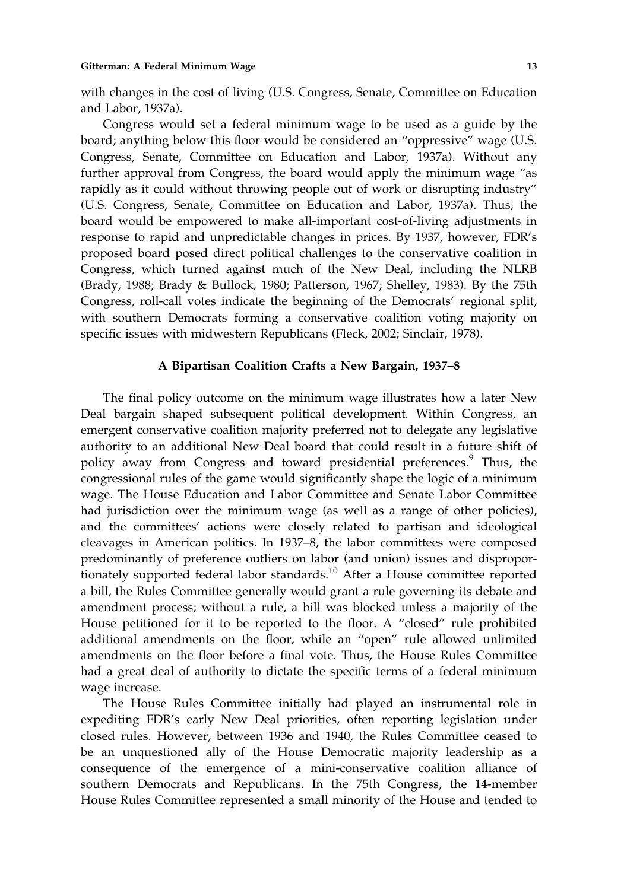with changes in the cost of living (U.S. Congress, Senate, Committee on Education and Labor, 1937a).

Congress would set a federal minimum wage to be used as a guide by the board; anything below this floor would be considered an "oppressive" wage (U.S. Congress, Senate, Committee on Education and Labor, 1937a). Without any further approval from Congress, the board would apply the minimum wage "as rapidly as it could without throwing people out of work or disrupting industry" (U.S. Congress, Senate, Committee on Education and Labor, 1937a). Thus, the board would be empowered to make all-important cost-of-living adjustments in response to rapid and unpredictable changes in prices. By 1937, however, FDR's proposed board posed direct political challenges to the conservative coalition in Congress, which turned against much of the New Deal, including the NLRB (Brady, 1988; Brady & Bullock, 1980; Patterson, 1967; Shelley, 1983). By the 75th Congress, roll-call votes indicate the beginning of the Democrats' regional split, with southern Democrats forming a conservative coalition voting majority on specific issues with midwestern Republicans (Fleck, 2002; Sinclair, 1978).

# A Bipartisan Coalition Crafts a New Bargain, 1937–8

The final policy outcome on the minimum wage illustrates how a later New Deal bargain shaped subsequent political development. Within Congress, an emergent conservative coalition majority preferred not to delegate any legislative authority to an additional New Deal board that could result in a future shift of policy away from Congress and toward presidential preferences.<sup>9</sup> Thus, the congressional rules of the game would significantly shape the logic of a minimum wage. The House Education and Labor Committee and Senate Labor Committee had jurisdiction over the minimum wage (as well as a range of other policies), and the committees' actions were closely related to partisan and ideological cleavages in American politics. In 1937–8, the labor committees were composed predominantly of preference outliers on labor (and union) issues and disproportionately supported federal labor standards.<sup>10</sup> After a House committee reported a bill, the Rules Committee generally would grant a rule governing its debate and amendment process; without a rule, a bill was blocked unless a majority of the House petitioned for it to be reported to the floor. A "closed" rule prohibited additional amendments on the floor, while an "open" rule allowed unlimited amendments on the floor before a final vote. Thus, the House Rules Committee had a great deal of authority to dictate the specific terms of a federal minimum wage increase.

The House Rules Committee initially had played an instrumental role in expediting FDR's early New Deal priorities, often reporting legislation under closed rules. However, between 1936 and 1940, the Rules Committee ceased to be an unquestioned ally of the House Democratic majority leadership as a consequence of the emergence of a mini-conservative coalition alliance of southern Democrats and Republicans. In the 75th Congress, the 14-member House Rules Committee represented a small minority of the House and tended to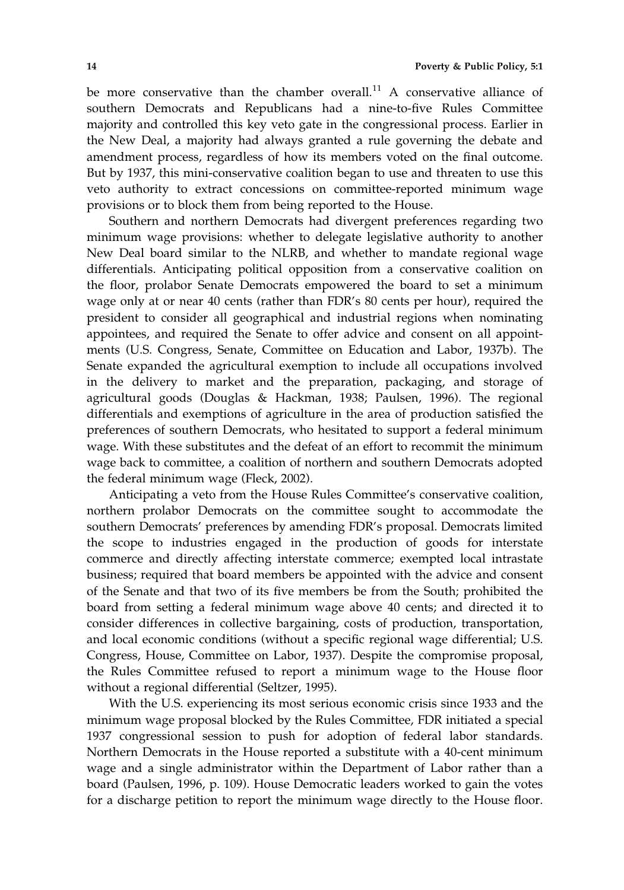be more conservative than the chamber overall.<sup>11</sup> A conservative alliance of southern Democrats and Republicans had a nine-to-five Rules Committee majority and controlled this key veto gate in the congressional process. Earlier in the New Deal, a majority had always granted a rule governing the debate and amendment process, regardless of how its members voted on the final outcome. But by 1937, this mini-conservative coalition began to use and threaten to use this veto authority to extract concessions on committee-reported minimum wage provisions or to block them from being reported to the House.

Southern and northern Democrats had divergent preferences regarding two minimum wage provisions: whether to delegate legislative authority to another New Deal board similar to the NLRB, and whether to mandate regional wage differentials. Anticipating political opposition from a conservative coalition on the floor, prolabor Senate Democrats empowered the board to set a minimum wage only at or near 40 cents (rather than FDR's 80 cents per hour), required the president to consider all geographical and industrial regions when nominating appointees, and required the Senate to offer advice and consent on all appointments (U.S. Congress, Senate, Committee on Education and Labor, 1937b). The Senate expanded the agricultural exemption to include all occupations involved in the delivery to market and the preparation, packaging, and storage of agricultural goods (Douglas & Hackman, 1938; Paulsen, 1996). The regional differentials and exemptions of agriculture in the area of production satisfied the preferences of southern Democrats, who hesitated to support a federal minimum wage. With these substitutes and the defeat of an effort to recommit the minimum wage back to committee, a coalition of northern and southern Democrats adopted the federal minimum wage (Fleck, 2002).

Anticipating a veto from the House Rules Committee's conservative coalition, northern prolabor Democrats on the committee sought to accommodate the southern Democrats' preferences by amending FDR's proposal. Democrats limited the scope to industries engaged in the production of goods for interstate commerce and directly affecting interstate commerce; exempted local intrastate business; required that board members be appointed with the advice and consent of the Senate and that two of its five members be from the South; prohibited the board from setting a federal minimum wage above 40 cents; and directed it to consider differences in collective bargaining, costs of production, transportation, and local economic conditions (without a specific regional wage differential; U.S. Congress, House, Committee on Labor, 1937). Despite the compromise proposal, the Rules Committee refused to report a minimum wage to the House floor without a regional differential (Seltzer, 1995).

With the U.S. experiencing its most serious economic crisis since 1933 and the minimum wage proposal blocked by the Rules Committee, FDR initiated a special 1937 congressional session to push for adoption of federal labor standards. Northern Democrats in the House reported a substitute with a 40-cent minimum wage and a single administrator within the Department of Labor rather than a board (Paulsen, 1996, p. 109). House Democratic leaders worked to gain the votes for a discharge petition to report the minimum wage directly to the House floor.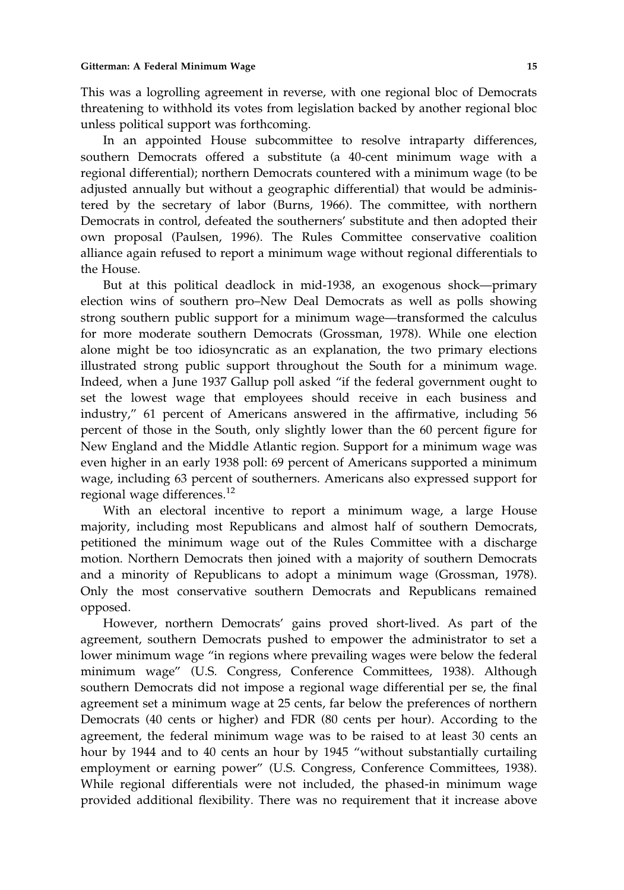This was a logrolling agreement in reverse, with one regional bloc of Democrats threatening to withhold its votes from legislation backed by another regional bloc unless political support was forthcoming.

In an appointed House subcommittee to resolve intraparty differences, southern Democrats offered a substitute (a 40-cent minimum wage with a regional differential); northern Democrats countered with a minimum wage (to be adjusted annually but without a geographic differential) that would be administered by the secretary of labor (Burns, 1966). The committee, with northern Democrats in control, defeated the southerners' substitute and then adopted their own proposal (Paulsen, 1996). The Rules Committee conservative coalition alliance again refused to report a minimum wage without regional differentials to the House.

But at this political deadlock in mid-1938, an exogenous shock—primary election wins of southern pro–New Deal Democrats as well as polls showing strong southern public support for a minimum wage—transformed the calculus for more moderate southern Democrats (Grossman, 1978). While one election alone might be too idiosyncratic as an explanation, the two primary elections illustrated strong public support throughout the South for a minimum wage. Indeed, when a June 1937 Gallup poll asked "if the federal government ought to set the lowest wage that employees should receive in each business and industry," 61 percent of Americans answered in the affirmative, including 56 percent of those in the South, only slightly lower than the 60 percent figure for New England and the Middle Atlantic region. Support for a minimum wage was even higher in an early 1938 poll: 69 percent of Americans supported a minimum wage, including 63 percent of southerners. Americans also expressed support for regional wage differences.<sup>12</sup>

With an electoral incentive to report a minimum wage, a large House majority, including most Republicans and almost half of southern Democrats, petitioned the minimum wage out of the Rules Committee with a discharge motion. Northern Democrats then joined with a majority of southern Democrats and a minority of Republicans to adopt a minimum wage (Grossman, 1978). Only the most conservative southern Democrats and Republicans remained opposed.

However, northern Democrats' gains proved short-lived. As part of the agreement, southern Democrats pushed to empower the administrator to set a lower minimum wage "in regions where prevailing wages were below the federal minimum wage" (U.S. Congress, Conference Committees, 1938). Although southern Democrats did not impose a regional wage differential per se, the final agreement set a minimum wage at 25 cents, far below the preferences of northern Democrats (40 cents or higher) and FDR (80 cents per hour). According to the agreement, the federal minimum wage was to be raised to at least 30 cents an hour by 1944 and to 40 cents an hour by 1945 "without substantially curtailing employment or earning power" (U.S. Congress, Conference Committees, 1938). While regional differentials were not included, the phased-in minimum wage provided additional flexibility. There was no requirement that it increase above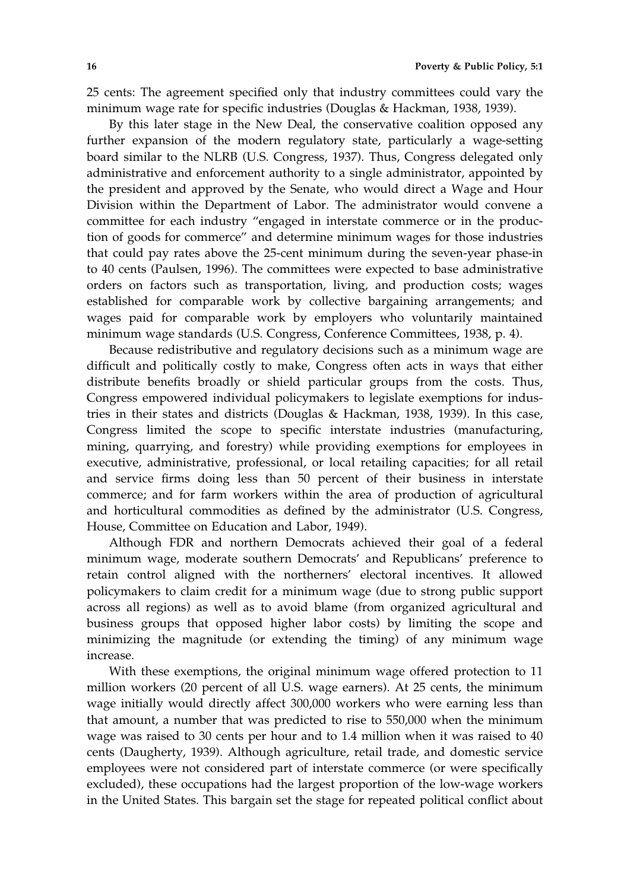25 cents: The agreement specified only that industry committees could vary the minimum wage rate for specific industries (Douglas & Hackman, 1938, 1939).

By this later stage in the New Deal, the conservative coalition opposed any further expansion of the modern regulatory state, particularly a wage-setting board similar to the NLRB (U.S. Congress, 1937). Thus, Congress delegated only administrative and enforcement authority to a single administrator, appointed by the president and approved by the Senate, who would direct a Wage and Hour Division within the Department of Labor. The administrator would convene a committee for each industry "engaged in interstate commerce or in the production of goods for commerce" and determine minimum wages for those industries that could pay rates above the 25-cent minimum during the seven-year phase-in to 40 cents (Paulsen, 1996). The committees were expected to base administrative orders on factors such as transportation, living, and production costs; wages established for comparable work by collective bargaining arrangements; and wages paid for comparable work by employers who voluntarily maintained minimum wage standards (U.S. Congress, Conference Committees, 1938, p. 4).

Because redistributive and regulatory decisions such as a minimum wage are difficult and politically costly to make, Congress often acts in ways that either distribute benefits broadly or shield particular groups from the costs. Thus, Congress empowered individual policymakers to legislate exemptions for industries in their states and districts (Douglas & Hackman, 1938, 1939). In this case, Congress limited the scope to specific interstate industries (manufacturing, mining, quarrying, and forestry) while providing exemptions for employees in executive, administrative, professional, or local retailing capacities; for all retail and service firms doing less than 50 percent of their business in interstate commerce; and for farm workers within the area of production of agricultural and horticultural commodities as defined by the administrator (U.S. Congress, House, Committee on Education and Labor, 1949).

Although FDR and northern Democrats achieved their goal of a federal minimum wage, moderate southern Democrats' and Republicans' preference to retain control aligned with the northerners' electoral incentives. It allowed policymakers to claim credit for a minimum wage (due to strong public support across all regions) as well as to avoid blame (from organized agricultural and business groups that opposed higher labor costs) by limiting the scope and minimizing the magnitude (or extending the timing) of any minimum wage increase.

With these exemptions, the original minimum wage offered protection to 11 million workers (20 percent of all U.S. wage earners). At 25 cents, the minimum wage initially would directly affect 300,000 workers who were earning less than that amount, a number that was predicted to rise to 550,000 when the minimum wage was raised to 30 cents per hour and to 1.4 million when it was raised to 40 cents (Daugherty, 1939). Although agriculture, retail trade, and domestic service employees were not considered part of interstate commerce (or were specifically excluded), these occupations had the largest proportion of the low-wage workers in the United States. This bargain set the stage for repeated political conflict about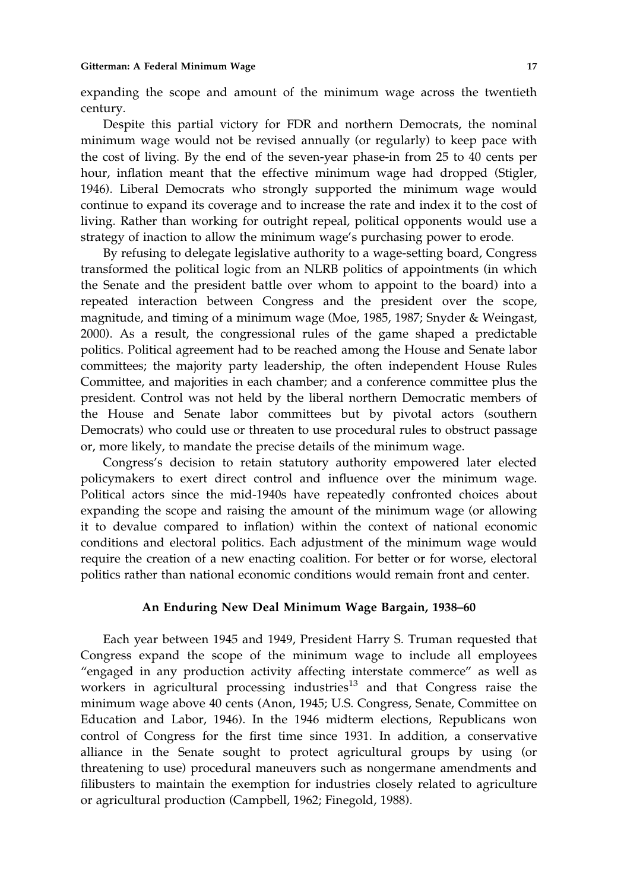expanding the scope and amount of the minimum wage across the twentieth century.

Despite this partial victory for FDR and northern Democrats, the nominal minimum wage would not be revised annually (or regularly) to keep pace with the cost of living. By the end of the seven-year phase-in from 25 to 40 cents per hour, inflation meant that the effective minimum wage had dropped (Stigler, 1946). Liberal Democrats who strongly supported the minimum wage would continue to expand its coverage and to increase the rate and index it to the cost of living. Rather than working for outright repeal, political opponents would use a strategy of inaction to allow the minimum wage's purchasing power to erode.

By refusing to delegate legislative authority to a wage-setting board, Congress transformed the political logic from an NLRB politics of appointments (in which the Senate and the president battle over whom to appoint to the board) into a repeated interaction between Congress and the president over the scope, magnitude, and timing of a minimum wage (Moe, 1985, 1987; Snyder & Weingast, 2000). As a result, the congressional rules of the game shaped a predictable politics. Political agreement had to be reached among the House and Senate labor committees; the majority party leadership, the often independent House Rules Committee, and majorities in each chamber; and a conference committee plus the president. Control was not held by the liberal northern Democratic members of the House and Senate labor committees but by pivotal actors (southern Democrats) who could use or threaten to use procedural rules to obstruct passage or, more likely, to mandate the precise details of the minimum wage.

Congress's decision to retain statutory authority empowered later elected policymakers to exert direct control and influence over the minimum wage. Political actors since the mid-1940s have repeatedly confronted choices about expanding the scope and raising the amount of the minimum wage (or allowing it to devalue compared to inflation) within the context of national economic conditions and electoral politics. Each adjustment of the minimum wage would require the creation of a new enacting coalition. For better or for worse, electoral politics rather than national economic conditions would remain front and center.

# An Enduring New Deal Minimum Wage Bargain, 1938–60

Each year between 1945 and 1949, President Harry S. Truman requested that Congress expand the scope of the minimum wage to include all employees "engaged in any production activity affecting interstate commerce" as well as workers in agricultural processing industries $13$  and that Congress raise the minimum wage above 40 cents (Anon, 1945; U.S. Congress, Senate, Committee on Education and Labor, 1946). In the 1946 midterm elections, Republicans won control of Congress for the first time since 1931. In addition, a conservative alliance in the Senate sought to protect agricultural groups by using (or threatening to use) procedural maneuvers such as nongermane amendments and filibusters to maintain the exemption for industries closely related to agriculture or agricultural production (Campbell, 1962; Finegold, 1988).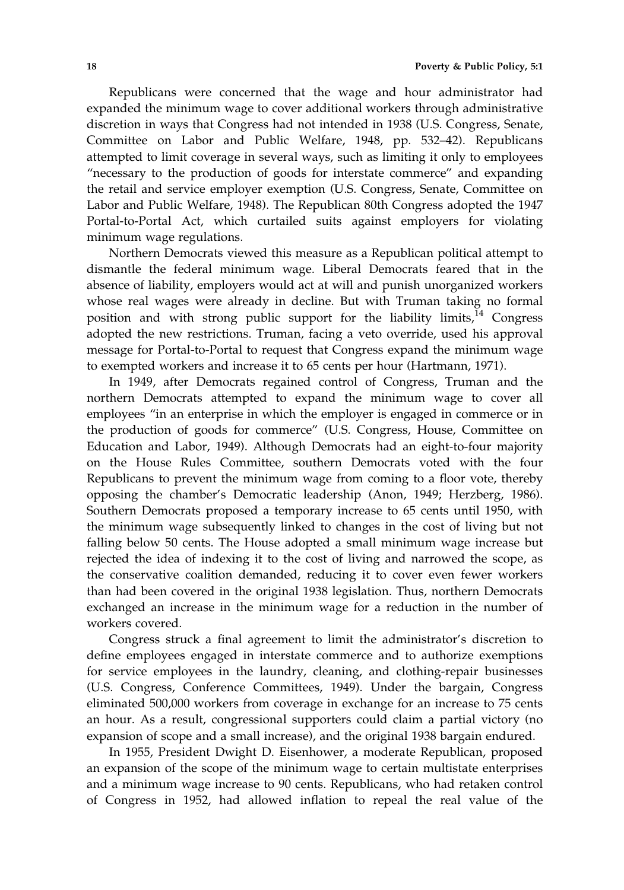Republicans were concerned that the wage and hour administrator had expanded the minimum wage to cover additional workers through administrative discretion in ways that Congress had not intended in 1938 (U.S. Congress, Senate, Committee on Labor and Public Welfare, 1948, pp. 532–42). Republicans attempted to limit coverage in several ways, such as limiting it only to employees "necessary to the production of goods for interstate commerce" and expanding the retail and service employer exemption (U.S. Congress, Senate, Committee on Labor and Public Welfare, 1948). The Republican 80th Congress adopted the 1947 Portal-to-Portal Act, which curtailed suits against employers for violating minimum wage regulations.

Northern Democrats viewed this measure as a Republican political attempt to dismantle the federal minimum wage. Liberal Democrats feared that in the absence of liability, employers would act at will and punish unorganized workers whose real wages were already in decline. But with Truman taking no formal position and with strong public support for the liability limits, $14$  Congress adopted the new restrictions. Truman, facing a veto override, used his approval message for Portal-to-Portal to request that Congress expand the minimum wage to exempted workers and increase it to 65 cents per hour (Hartmann, 1971).

In 1949, after Democrats regained control of Congress, Truman and the northern Democrats attempted to expand the minimum wage to cover all employees "in an enterprise in which the employer is engaged in commerce or in the production of goods for commerce" (U.S. Congress, House, Committee on Education and Labor, 1949). Although Democrats had an eight-to-four majority on the House Rules Committee, southern Democrats voted with the four Republicans to prevent the minimum wage from coming to a floor vote, thereby opposing the chamber's Democratic leadership (Anon, 1949; Herzberg, 1986). Southern Democrats proposed a temporary increase to 65 cents until 1950, with the minimum wage subsequently linked to changes in the cost of living but not falling below 50 cents. The House adopted a small minimum wage increase but rejected the idea of indexing it to the cost of living and narrowed the scope, as the conservative coalition demanded, reducing it to cover even fewer workers than had been covered in the original 1938 legislation. Thus, northern Democrats exchanged an increase in the minimum wage for a reduction in the number of workers covered.

Congress struck a final agreement to limit the administrator's discretion to define employees engaged in interstate commerce and to authorize exemptions for service employees in the laundry, cleaning, and clothing-repair businesses (U.S. Congress, Conference Committees, 1949). Under the bargain, Congress eliminated 500,000 workers from coverage in exchange for an increase to 75 cents an hour. As a result, congressional supporters could claim a partial victory (no expansion of scope and a small increase), and the original 1938 bargain endured.

In 1955, President Dwight D. Eisenhower, a moderate Republican, proposed an expansion of the scope of the minimum wage to certain multistate enterprises and a minimum wage increase to 90 cents. Republicans, who had retaken control of Congress in 1952, had allowed inflation to repeal the real value of the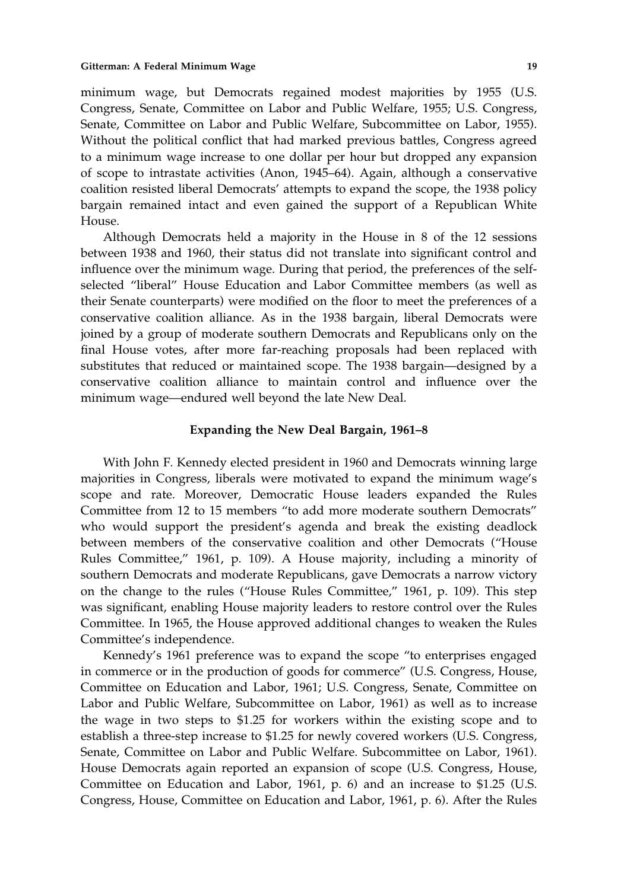minimum wage, but Democrats regained modest majorities by 1955 (U.S. Congress, Senate, Committee on Labor and Public Welfare, 1955; U.S. Congress, Senate, Committee on Labor and Public Welfare, Subcommittee on Labor, 1955). Without the political conflict that had marked previous battles, Congress agreed to a minimum wage increase to one dollar per hour but dropped any expansion of scope to intrastate activities (Anon, 1945–64). Again, although a conservative coalition resisted liberal Democrats' attempts to expand the scope, the 1938 policy bargain remained intact and even gained the support of a Republican White House.

Although Democrats held a majority in the House in 8 of the 12 sessions between 1938 and 1960, their status did not translate into significant control and influence over the minimum wage. During that period, the preferences of the selfselected "liberal" House Education and Labor Committee members (as well as their Senate counterparts) were modified on the floor to meet the preferences of a conservative coalition alliance. As in the 1938 bargain, liberal Democrats were joined by a group of moderate southern Democrats and Republicans only on the final House votes, after more far-reaching proposals had been replaced with substitutes that reduced or maintained scope. The 1938 bargain—designed by a conservative coalition alliance to maintain control and influence over the minimum wage—endured well beyond the late New Deal.

# Expanding the New Deal Bargain, 1961–8

With John F. Kennedy elected president in 1960 and Democrats winning large majorities in Congress, liberals were motivated to expand the minimum wage's scope and rate. Moreover, Democratic House leaders expanded the Rules Committee from 12 to 15 members "to add more moderate southern Democrats" who would support the president's agenda and break the existing deadlock between members of the conservative coalition and other Democrats ("House Rules Committee," 1961, p. 109). A House majority, including a minority of southern Democrats and moderate Republicans, gave Democrats a narrow victory on the change to the rules ("House Rules Committee," 1961, p. 109). This step was significant, enabling House majority leaders to restore control over the Rules Committee. In 1965, the House approved additional changes to weaken the Rules Committee's independence.

Kennedy's 1961 preference was to expand the scope "to enterprises engaged in commerce or in the production of goods for commerce" (U.S. Congress, House, Committee on Education and Labor, 1961; U.S. Congress, Senate, Committee on Labor and Public Welfare, Subcommittee on Labor, 1961) as well as to increase the wage in two steps to \$1.25 for workers within the existing scope and to establish a three-step increase to \$1.25 for newly covered workers (U.S. Congress, Senate, Committee on Labor and Public Welfare. Subcommittee on Labor, 1961). House Democrats again reported an expansion of scope (U.S. Congress, House, Committee on Education and Labor, 1961, p. 6) and an increase to \$1.25 (U.S. Congress, House, Committee on Education and Labor, 1961, p. 6). After the Rules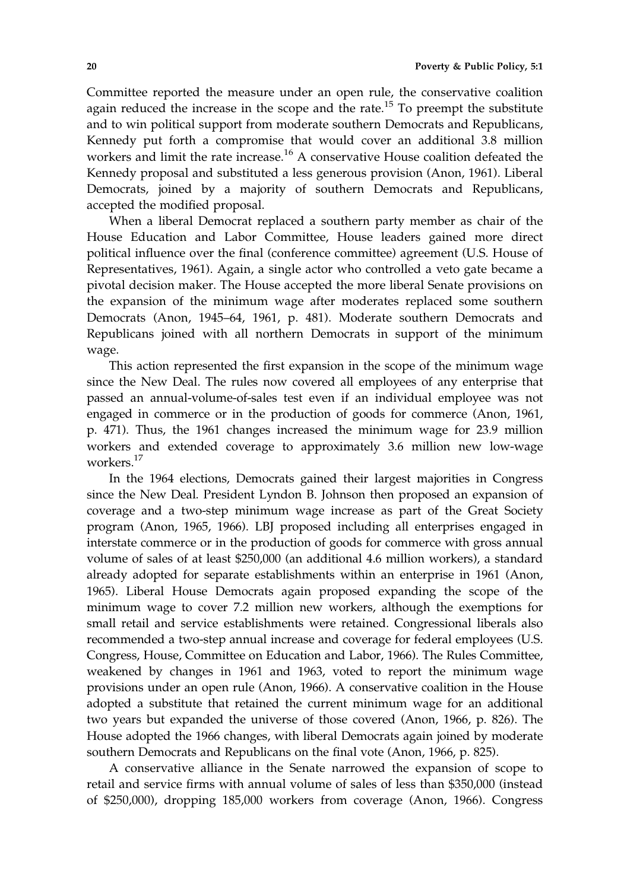Committee reported the measure under an open rule, the conservative coalition again reduced the increase in the scope and the rate.<sup>15</sup> To preempt the substitute and to win political support from moderate southern Democrats and Republicans, Kennedy put forth a compromise that would cover an additional 3.8 million workers and limit the rate increase.<sup>16</sup> A conservative House coalition defeated the Kennedy proposal and substituted a less generous provision (Anon, 1961). Liberal Democrats, joined by a majority of southern Democrats and Republicans, accepted the modified proposal.

When a liberal Democrat replaced a southern party member as chair of the House Education and Labor Committee, House leaders gained more direct political influence over the final (conference committee) agreement (U.S. House of Representatives, 1961). Again, a single actor who controlled a veto gate became a pivotal decision maker. The House accepted the more liberal Senate provisions on the expansion of the minimum wage after moderates replaced some southern Democrats (Anon, 1945–64, 1961, p. 481). Moderate southern Democrats and Republicans joined with all northern Democrats in support of the minimum wage.

This action represented the first expansion in the scope of the minimum wage since the New Deal. The rules now covered all employees of any enterprise that passed an annual-volume-of-sales test even if an individual employee was not engaged in commerce or in the production of goods for commerce (Anon, 1961, p. 471). Thus, the 1961 changes increased the minimum wage for 23.9 million workers and extended coverage to approximately 3.6 million new low-wage workers.17

In the 1964 elections, Democrats gained their largest majorities in Congress since the New Deal. President Lyndon B. Johnson then proposed an expansion of coverage and a two-step minimum wage increase as part of the Great Society program (Anon, 1965, 1966). LBJ proposed including all enterprises engaged in interstate commerce or in the production of goods for commerce with gross annual volume of sales of at least \$250,000 (an additional 4.6 million workers), a standard already adopted for separate establishments within an enterprise in 1961 (Anon, 1965). Liberal House Democrats again proposed expanding the scope of the minimum wage to cover 7.2 million new workers, although the exemptions for small retail and service establishments were retained. Congressional liberals also recommended a two-step annual increase and coverage for federal employees (U.S. Congress, House, Committee on Education and Labor, 1966). The Rules Committee, weakened by changes in 1961 and 1963, voted to report the minimum wage provisions under an open rule (Anon, 1966). A conservative coalition in the House adopted a substitute that retained the current minimum wage for an additional two years but expanded the universe of those covered (Anon, 1966, p. 826). The House adopted the 1966 changes, with liberal Democrats again joined by moderate southern Democrats and Republicans on the final vote (Anon, 1966, p. 825).

A conservative alliance in the Senate narrowed the expansion of scope to retail and service firms with annual volume of sales of less than \$350,000 (instead of \$250,000), dropping 185,000 workers from coverage (Anon, 1966). Congress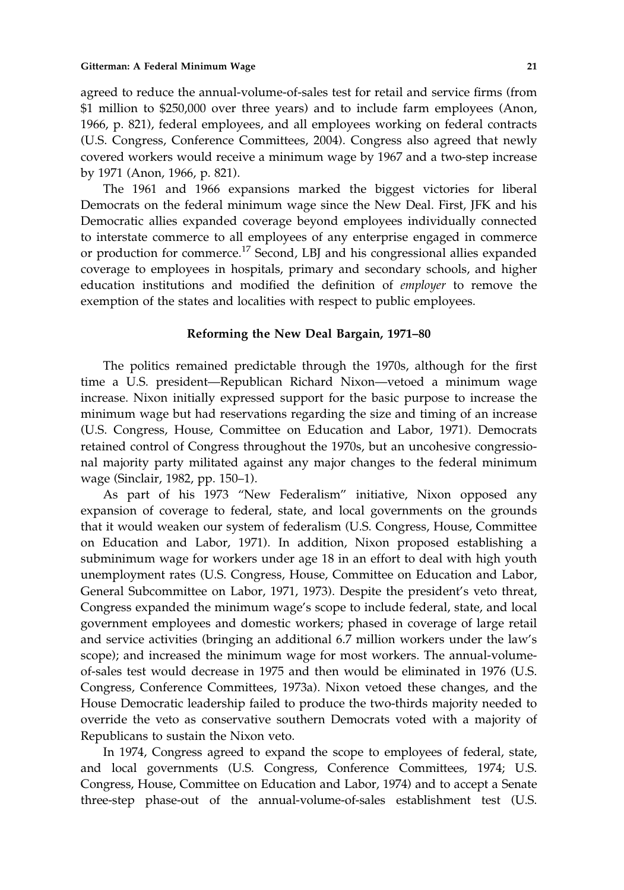agreed to reduce the annual-volume-of-sales test for retail and service firms (from \$1 million to \$250,000 over three years) and to include farm employees (Anon, 1966, p. 821), federal employees, and all employees working on federal contracts (U.S. Congress, Conference Committees, 2004). Congress also agreed that newly covered workers would receive a minimum wage by 1967 and a two-step increase by 1971 (Anon, 1966, p. 821).

The 1961 and 1966 expansions marked the biggest victories for liberal Democrats on the federal minimum wage since the New Deal. First, JFK and his Democratic allies expanded coverage beyond employees individually connected to interstate commerce to all employees of any enterprise engaged in commerce or production for commerce.<sup>17</sup> Second, LBJ and his congressional allies expanded coverage to employees in hospitals, primary and secondary schools, and higher education institutions and modified the definition of employer to remove the exemption of the states and localities with respect to public employees.

## Reforming the New Deal Bargain, 1971–80

The politics remained predictable through the 1970s, although for the first time a U.S. president—Republican Richard Nixon—vetoed a minimum wage increase. Nixon initially expressed support for the basic purpose to increase the minimum wage but had reservations regarding the size and timing of an increase (U.S. Congress, House, Committee on Education and Labor, 1971). Democrats retained control of Congress throughout the 1970s, but an uncohesive congressional majority party militated against any major changes to the federal minimum wage (Sinclair, 1982, pp. 150–1).

As part of his 1973 "New Federalism" initiative, Nixon opposed any expansion of coverage to federal, state, and local governments on the grounds that it would weaken our system of federalism (U.S. Congress, House, Committee on Education and Labor, 1971). In addition, Nixon proposed establishing a subminimum wage for workers under age 18 in an effort to deal with high youth unemployment rates (U.S. Congress, House, Committee on Education and Labor, General Subcommittee on Labor, 1971, 1973). Despite the president's veto threat, Congress expanded the minimum wage's scope to include federal, state, and local government employees and domestic workers; phased in coverage of large retail and service activities (bringing an additional 6.7 million workers under the law's scope); and increased the minimum wage for most workers. The annual-volumeof-sales test would decrease in 1975 and then would be eliminated in 1976 (U.S. Congress, Conference Committees, 1973a). Nixon vetoed these changes, and the House Democratic leadership failed to produce the two-thirds majority needed to override the veto as conservative southern Democrats voted with a majority of Republicans to sustain the Nixon veto.

In 1974, Congress agreed to expand the scope to employees of federal, state, and local governments (U.S. Congress, Conference Committees, 1974; U.S. Congress, House, Committee on Education and Labor, 1974) and to accept a Senate three-step phase-out of the annual-volume-of-sales establishment test (U.S.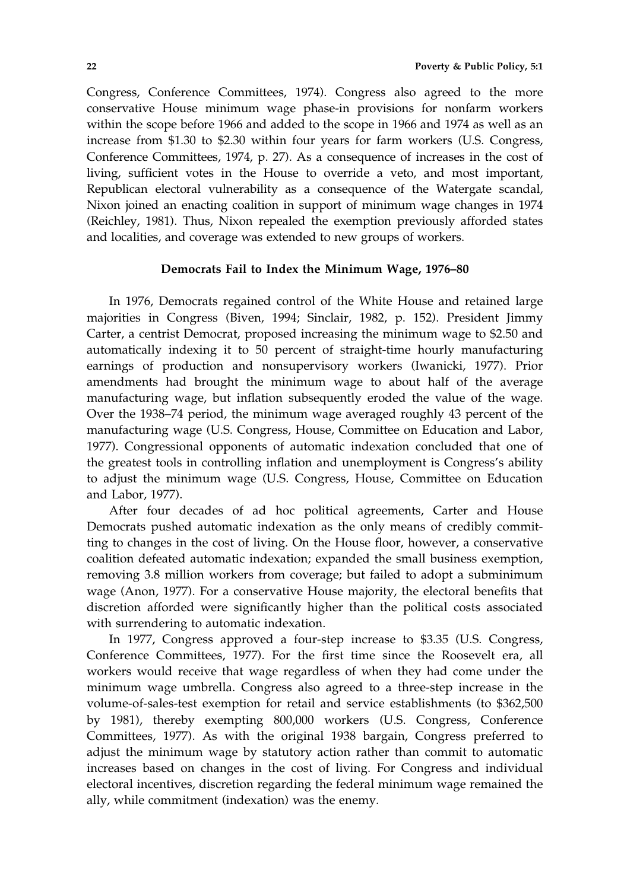Congress, Conference Committees, 1974). Congress also agreed to the more conservative House minimum wage phase-in provisions for nonfarm workers within the scope before 1966 and added to the scope in 1966 and 1974 as well as an increase from \$1.30 to \$2.30 within four years for farm workers (U.S. Congress, Conference Committees, 1974, p. 27). As a consequence of increases in the cost of living, sufficient votes in the House to override a veto, and most important, Republican electoral vulnerability as a consequence of the Watergate scandal, Nixon joined an enacting coalition in support of minimum wage changes in 1974 (Reichley, 1981). Thus, Nixon repealed the exemption previously afforded states and localities, and coverage was extended to new groups of workers.

## Democrats Fail to Index the Minimum Wage, 1976–80

In 1976, Democrats regained control of the White House and retained large majorities in Congress (Biven, 1994; Sinclair, 1982, p. 152). President Jimmy Carter, a centrist Democrat, proposed increasing the minimum wage to \$2.50 and automatically indexing it to 50 percent of straight-time hourly manufacturing earnings of production and nonsupervisory workers (Iwanicki, 1977). Prior amendments had brought the minimum wage to about half of the average manufacturing wage, but inflation subsequently eroded the value of the wage. Over the 1938–74 period, the minimum wage averaged roughly 43 percent of the manufacturing wage (U.S. Congress, House, Committee on Education and Labor, 1977). Congressional opponents of automatic indexation concluded that one of the greatest tools in controlling inflation and unemployment is Congress's ability to adjust the minimum wage (U.S. Congress, House, Committee on Education and Labor, 1977).

After four decades of ad hoc political agreements, Carter and House Democrats pushed automatic indexation as the only means of credibly committing to changes in the cost of living. On the House floor, however, a conservative coalition defeated automatic indexation; expanded the small business exemption, removing 3.8 million workers from coverage; but failed to adopt a subminimum wage (Anon, 1977). For a conservative House majority, the electoral benefits that discretion afforded were significantly higher than the political costs associated with surrendering to automatic indexation.

In 1977, Congress approved a four-step increase to \$3.35 (U.S. Congress, Conference Committees, 1977). For the first time since the Roosevelt era, all workers would receive that wage regardless of when they had come under the minimum wage umbrella. Congress also agreed to a three-step increase in the volume-of-sales-test exemption for retail and service establishments (to \$362,500 by 1981), thereby exempting 800,000 workers (U.S. Congress, Conference Committees, 1977). As with the original 1938 bargain, Congress preferred to adjust the minimum wage by statutory action rather than commit to automatic increases based on changes in the cost of living. For Congress and individual electoral incentives, discretion regarding the federal minimum wage remained the ally, while commitment (indexation) was the enemy.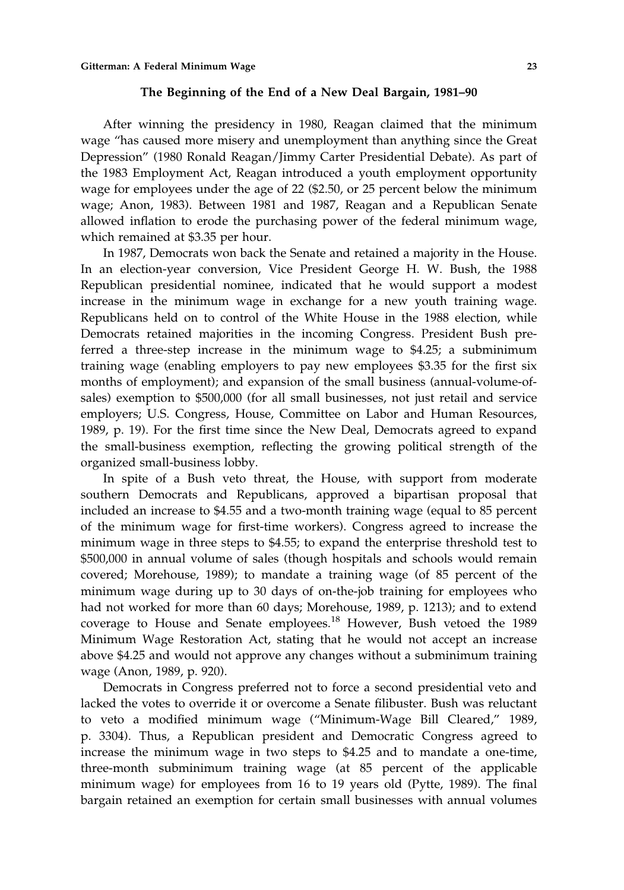# The Beginning of the End of a New Deal Bargain, 1981–90

After winning the presidency in 1980, Reagan claimed that the minimum wage "has caused more misery and unemployment than anything since the Great Depression" (1980 Ronald Reagan/Jimmy Carter Presidential Debate). As part of the 1983 Employment Act, Reagan introduced a youth employment opportunity wage for employees under the age of 22 (\$2.50, or 25 percent below the minimum wage; Anon, 1983). Between 1981 and 1987, Reagan and a Republican Senate allowed inflation to erode the purchasing power of the federal minimum wage, which remained at \$3.35 per hour.

In 1987, Democrats won back the Senate and retained a majority in the House. In an election-year conversion, Vice President George H. W. Bush, the 1988 Republican presidential nominee, indicated that he would support a modest increase in the minimum wage in exchange for a new youth training wage. Republicans held on to control of the White House in the 1988 election, while Democrats retained majorities in the incoming Congress. President Bush preferred a three-step increase in the minimum wage to \$4.25; a subminimum training wage (enabling employers to pay new employees \$3.35 for the first six months of employment); and expansion of the small business (annual-volume-ofsales) exemption to \$500,000 (for all small businesses, not just retail and service employers; U.S. Congress, House, Committee on Labor and Human Resources, 1989, p. 19). For the first time since the New Deal, Democrats agreed to expand the small-business exemption, reflecting the growing political strength of the organized small-business lobby.

In spite of a Bush veto threat, the House, with support from moderate southern Democrats and Republicans, approved a bipartisan proposal that included an increase to \$4.55 and a two-month training wage (equal to 85 percent of the minimum wage for first-time workers). Congress agreed to increase the minimum wage in three steps to \$4.55; to expand the enterprise threshold test to \$500,000 in annual volume of sales (though hospitals and schools would remain covered; Morehouse, 1989); to mandate a training wage (of 85 percent of the minimum wage during up to 30 days of on-the-job training for employees who had not worked for more than 60 days; Morehouse, 1989, p. 1213); and to extend coverage to House and Senate employees.<sup>18</sup> However, Bush vetoed the 1989 Minimum Wage Restoration Act, stating that he would not accept an increase above \$4.25 and would not approve any changes without a subminimum training wage (Anon, 1989, p. 920).

Democrats in Congress preferred not to force a second presidential veto and lacked the votes to override it or overcome a Senate filibuster. Bush was reluctant to veto a modified minimum wage ("Minimum-Wage Bill Cleared," 1989, p. 3304). Thus, a Republican president and Democratic Congress agreed to increase the minimum wage in two steps to \$4.25 and to mandate a one-time, three-month subminimum training wage (at 85 percent of the applicable minimum wage) for employees from 16 to 19 years old (Pytte, 1989). The final bargain retained an exemption for certain small businesses with annual volumes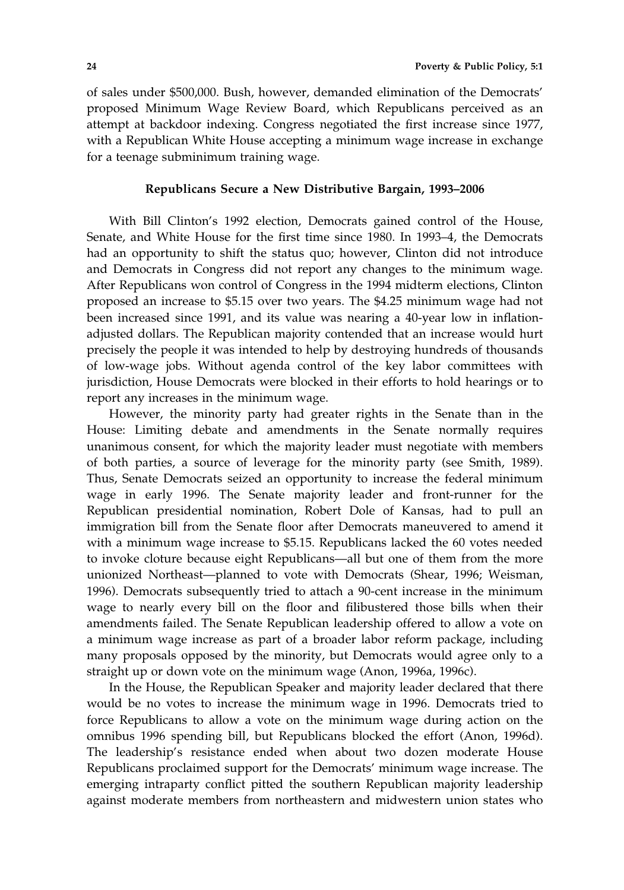of sales under \$500,000. Bush, however, demanded elimination of the Democrats' proposed Minimum Wage Review Board, which Republicans perceived as an attempt at backdoor indexing. Congress negotiated the first increase since 1977, with a Republican White House accepting a minimum wage increase in exchange for a teenage subminimum training wage.

# Republicans Secure a New Distributive Bargain, 1993–2006

With Bill Clinton's 1992 election, Democrats gained control of the House, Senate, and White House for the first time since 1980. In 1993–4, the Democrats had an opportunity to shift the status quo; however, Clinton did not introduce and Democrats in Congress did not report any changes to the minimum wage. After Republicans won control of Congress in the 1994 midterm elections, Clinton proposed an increase to \$5.15 over two years. The \$4.25 minimum wage had not been increased since 1991, and its value was nearing a 40-year low in inflationadjusted dollars. The Republican majority contended that an increase would hurt precisely the people it was intended to help by destroying hundreds of thousands of low-wage jobs. Without agenda control of the key labor committees with jurisdiction, House Democrats were blocked in their efforts to hold hearings or to report any increases in the minimum wage.

However, the minority party had greater rights in the Senate than in the House: Limiting debate and amendments in the Senate normally requires unanimous consent, for which the majority leader must negotiate with members of both parties, a source of leverage for the minority party (see Smith, 1989). Thus, Senate Democrats seized an opportunity to increase the federal minimum wage in early 1996. The Senate majority leader and front-runner for the Republican presidential nomination, Robert Dole of Kansas, had to pull an immigration bill from the Senate floor after Democrats maneuvered to amend it with a minimum wage increase to \$5.15. Republicans lacked the 60 votes needed to invoke cloture because eight Republicans—all but one of them from the more unionized Northeast—planned to vote with Democrats (Shear, 1996; Weisman, 1996). Democrats subsequently tried to attach a 90-cent increase in the minimum wage to nearly every bill on the floor and filibustered those bills when their amendments failed. The Senate Republican leadership offered to allow a vote on a minimum wage increase as part of a broader labor reform package, including many proposals opposed by the minority, but Democrats would agree only to a straight up or down vote on the minimum wage (Anon, 1996a, 1996c).

In the House, the Republican Speaker and majority leader declared that there would be no votes to increase the minimum wage in 1996. Democrats tried to force Republicans to allow a vote on the minimum wage during action on the omnibus 1996 spending bill, but Republicans blocked the effort (Anon, 1996d). The leadership's resistance ended when about two dozen moderate House Republicans proclaimed support for the Democrats' minimum wage increase. The emerging intraparty conflict pitted the southern Republican majority leadership against moderate members from northeastern and midwestern union states who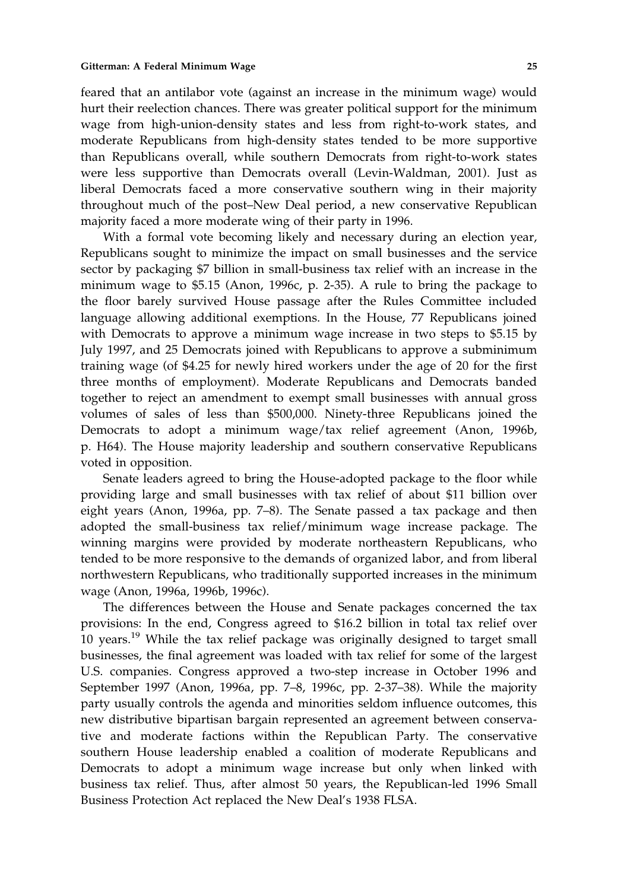feared that an antilabor vote (against an increase in the minimum wage) would hurt their reelection chances. There was greater political support for the minimum wage from high-union-density states and less from right-to-work states, and moderate Republicans from high-density states tended to be more supportive than Republicans overall, while southern Democrats from right-to-work states were less supportive than Democrats overall (Levin-Waldman, 2001). Just as liberal Democrats faced a more conservative southern wing in their majority throughout much of the post–New Deal period, a new conservative Republican majority faced a more moderate wing of their party in 1996.

With a formal vote becoming likely and necessary during an election year, Republicans sought to minimize the impact on small businesses and the service sector by packaging \$7 billion in small-business tax relief with an increase in the minimum wage to \$5.15 (Anon, 1996c, p. 2-35). A rule to bring the package to the floor barely survived House passage after the Rules Committee included language allowing additional exemptions. In the House, 77 Republicans joined with Democrats to approve a minimum wage increase in two steps to \$5.15 by July 1997, and 25 Democrats joined with Republicans to approve a subminimum training wage (of \$4.25 for newly hired workers under the age of 20 for the first three months of employment). Moderate Republicans and Democrats banded together to reject an amendment to exempt small businesses with annual gross volumes of sales of less than \$500,000. Ninety-three Republicans joined the Democrats to adopt a minimum wage/tax relief agreement (Anon, 1996b, p. H64). The House majority leadership and southern conservative Republicans voted in opposition.

Senate leaders agreed to bring the House-adopted package to the floor while providing large and small businesses with tax relief of about \$11 billion over eight years (Anon, 1996a, pp. 7–8). The Senate passed a tax package and then adopted the small-business tax relief/minimum wage increase package. The winning margins were provided by moderate northeastern Republicans, who tended to be more responsive to the demands of organized labor, and from liberal northwestern Republicans, who traditionally supported increases in the minimum wage (Anon, 1996a, 1996b, 1996c).

The differences between the House and Senate packages concerned the tax provisions: In the end, Congress agreed to \$16.2 billion in total tax relief over 10 years.<sup>19</sup> While the tax relief package was originally designed to target small businesses, the final agreement was loaded with tax relief for some of the largest U.S. companies. Congress approved a two-step increase in October 1996 and September 1997 (Anon, 1996a, pp. 7–8, 1996c, pp. 2-37–38). While the majority party usually controls the agenda and minorities seldom influence outcomes, this new distributive bipartisan bargain represented an agreement between conservative and moderate factions within the Republican Party. The conservative southern House leadership enabled a coalition of moderate Republicans and Democrats to adopt a minimum wage increase but only when linked with business tax relief. Thus, after almost 50 years, the Republican-led 1996 Small Business Protection Act replaced the New Deal's 1938 FLSA.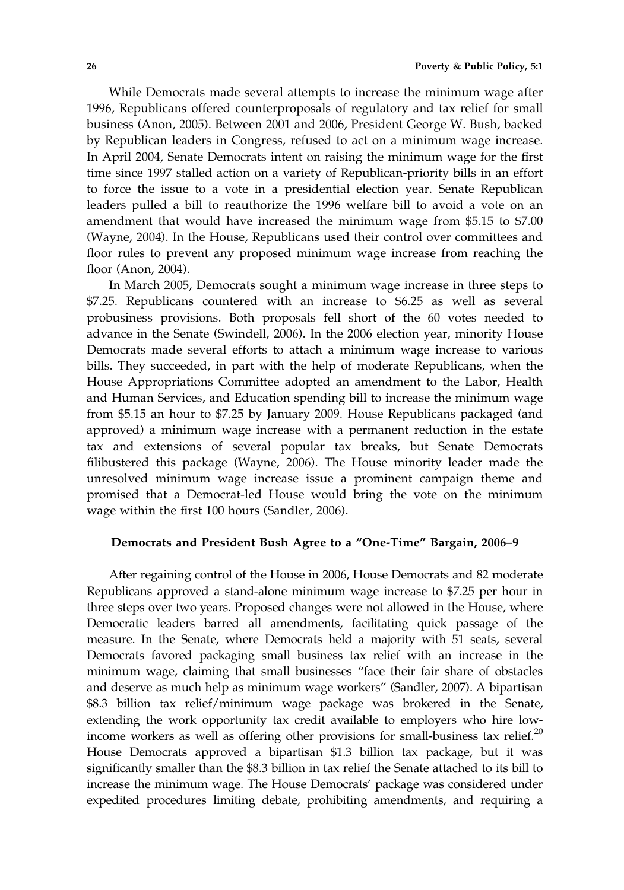While Democrats made several attempts to increase the minimum wage after 1996, Republicans offered counterproposals of regulatory and tax relief for small business (Anon, 2005). Between 2001 and 2006, President George W. Bush, backed by Republican leaders in Congress, refused to act on a minimum wage increase. In April 2004, Senate Democrats intent on raising the minimum wage for the first time since 1997 stalled action on a variety of Republican-priority bills in an effort to force the issue to a vote in a presidential election year. Senate Republican leaders pulled a bill to reauthorize the 1996 welfare bill to avoid a vote on an amendment that would have increased the minimum wage from \$5.15 to \$7.00 (Wayne, 2004). In the House, Republicans used their control over committees and floor rules to prevent any proposed minimum wage increase from reaching the floor (Anon, 2004).

In March 2005, Democrats sought a minimum wage increase in three steps to \$7.25. Republicans countered with an increase to \$6.25 as well as several probusiness provisions. Both proposals fell short of the 60 votes needed to advance in the Senate (Swindell, 2006). In the 2006 election year, minority House Democrats made several efforts to attach a minimum wage increase to various bills. They succeeded, in part with the help of moderate Republicans, when the House Appropriations Committee adopted an amendment to the Labor, Health and Human Services, and Education spending bill to increase the minimum wage from \$5.15 an hour to \$7.25 by January 2009. House Republicans packaged (and approved) a minimum wage increase with a permanent reduction in the estate tax and extensions of several popular tax breaks, but Senate Democrats filibustered this package (Wayne, 2006). The House minority leader made the unresolved minimum wage increase issue a prominent campaign theme and promised that a Democrat-led House would bring the vote on the minimum wage within the first 100 hours (Sandler, 2006).

# Democrats and President Bush Agree to a "One-Time" Bargain, 2006–9

After regaining control of the House in 2006, House Democrats and 82 moderate Republicans approved a stand-alone minimum wage increase to \$7.25 per hour in three steps over two years. Proposed changes were not allowed in the House, where Democratic leaders barred all amendments, facilitating quick passage of the measure. In the Senate, where Democrats held a majority with 51 seats, several Democrats favored packaging small business tax relief with an increase in the minimum wage, claiming that small businesses "face their fair share of obstacles and deserve as much help as minimum wage workers" (Sandler, 2007). A bipartisan \$8.3 billion tax relief/minimum wage package was brokered in the Senate, extending the work opportunity tax credit available to employers who hire lowincome workers as well as offering other provisions for small-business tax relief. $20$ House Democrats approved a bipartisan \$1.3 billion tax package, but it was significantly smaller than the \$8.3 billion in tax relief the Senate attached to its bill to increase the minimum wage. The House Democrats' package was considered under expedited procedures limiting debate, prohibiting amendments, and requiring a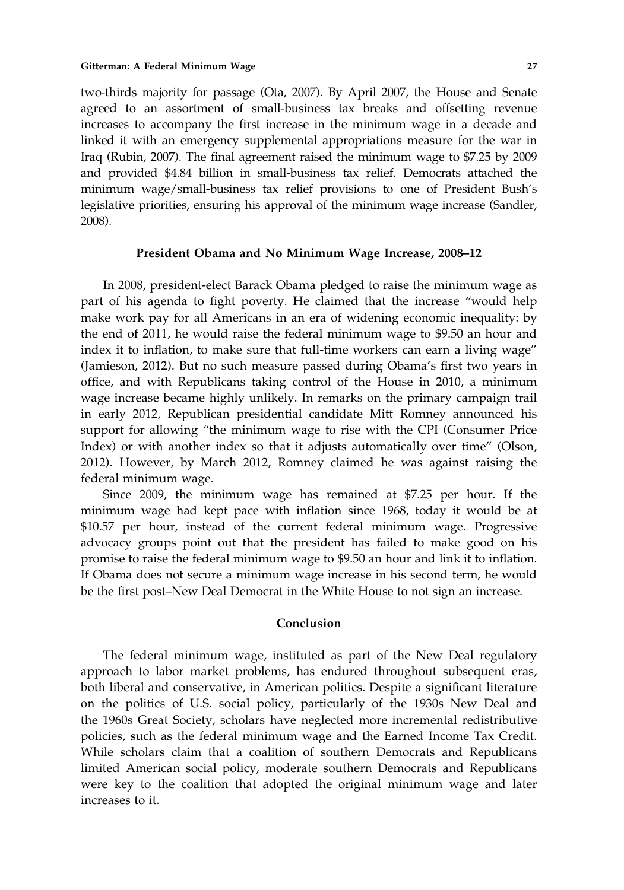two-thirds majority for passage (Ota, 2007). By April 2007, the House and Senate agreed to an assortment of small-business tax breaks and offsetting revenue increases to accompany the first increase in the minimum wage in a decade and linked it with an emergency supplemental appropriations measure for the war in Iraq (Rubin, 2007). The final agreement raised the minimum wage to \$7.25 by 2009 and provided \$4.84 billion in small-business tax relief. Democrats attached the minimum wage/small-business tax relief provisions to one of President Bush's legislative priorities, ensuring his approval of the minimum wage increase (Sandler, 2008).

# President Obama and No Minimum Wage Increase, 2008–12

In 2008, president-elect Barack Obama pledged to raise the minimum wage as part of his agenda to fight poverty. He claimed that the increase "would help make work pay for all Americans in an era of widening economic inequality: by the end of 2011, he would raise the federal minimum wage to \$9.50 an hour and index it to inflation, to make sure that full-time workers can earn a living wage" (Jamieson, 2012). But no such measure passed during Obama's first two years in office, and with Republicans taking control of the House in 2010, a minimum wage increase became highly unlikely. In remarks on the primary campaign trail in early 2012, Republican presidential candidate Mitt Romney announced his support for allowing "the minimum wage to rise with the CPI (Consumer Price Index) or with another index so that it adjusts automatically over time" (Olson, 2012). However, by March 2012, Romney claimed he was against raising the federal minimum wage.

Since 2009, the minimum wage has remained at \$7.25 per hour. If the minimum wage had kept pace with inflation since 1968, today it would be at \$10.57 per hour, instead of the current federal minimum wage. Progressive advocacy groups point out that the president has failed to make good on his promise to raise the federal minimum wage to \$9.50 an hour and link it to inflation. If Obama does not secure a minimum wage increase in his second term, he would be the first post–New Deal Democrat in the White House to not sign an increase.

# Conclusion

The federal minimum wage, instituted as part of the New Deal regulatory approach to labor market problems, has endured throughout subsequent eras, both liberal and conservative, in American politics. Despite a significant literature on the politics of U.S. social policy, particularly of the 1930s New Deal and the 1960s Great Society, scholars have neglected more incremental redistributive policies, such as the federal minimum wage and the Earned Income Tax Credit. While scholars claim that a coalition of southern Democrats and Republicans limited American social policy, moderate southern Democrats and Republicans were key to the coalition that adopted the original minimum wage and later increases to it.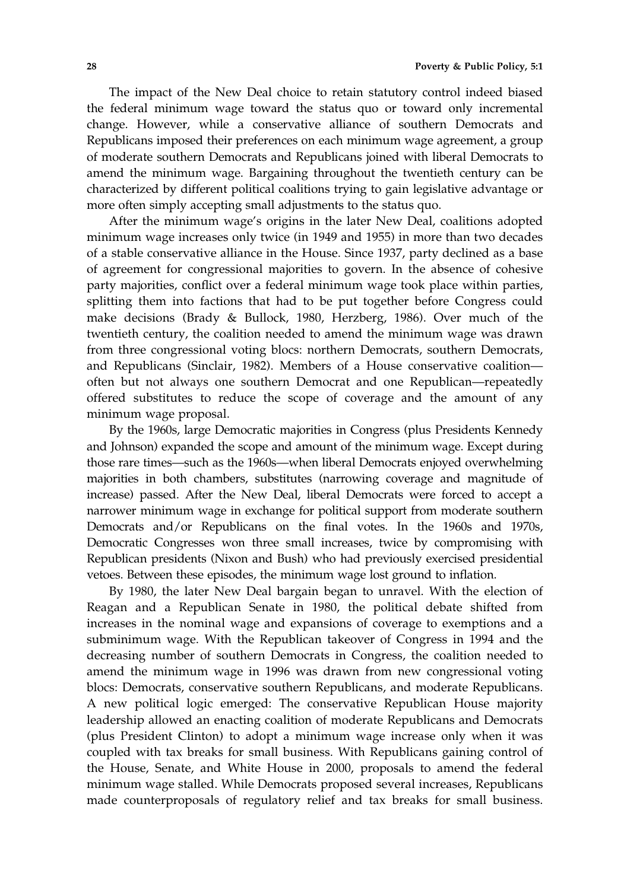The impact of the New Deal choice to retain statutory control indeed biased the federal minimum wage toward the status quo or toward only incremental change. However, while a conservative alliance of southern Democrats and Republicans imposed their preferences on each minimum wage agreement, a group of moderate southern Democrats and Republicans joined with liberal Democrats to amend the minimum wage. Bargaining throughout the twentieth century can be characterized by different political coalitions trying to gain legislative advantage or more often simply accepting small adjustments to the status quo.

After the minimum wage's origins in the later New Deal, coalitions adopted minimum wage increases only twice (in 1949 and 1955) in more than two decades of a stable conservative alliance in the House. Since 1937, party declined as a base of agreement for congressional majorities to govern. In the absence of cohesive party majorities, conflict over a federal minimum wage took place within parties, splitting them into factions that had to be put together before Congress could make decisions (Brady & Bullock, 1980, Herzberg, 1986). Over much of the twentieth century, the coalition needed to amend the minimum wage was drawn from three congressional voting blocs: northern Democrats, southern Democrats, and Republicans (Sinclair, 1982). Members of a House conservative coalition often but not always one southern Democrat and one Republican—repeatedly offered substitutes to reduce the scope of coverage and the amount of any minimum wage proposal.

By the 1960s, large Democratic majorities in Congress (plus Presidents Kennedy and Johnson) expanded the scope and amount of the minimum wage. Except during those rare times—such as the 1960s—when liberal Democrats enjoyed overwhelming majorities in both chambers, substitutes (narrowing coverage and magnitude of increase) passed. After the New Deal, liberal Democrats were forced to accept a narrower minimum wage in exchange for political support from moderate southern Democrats and/or Republicans on the final votes. In the 1960s and 1970s, Democratic Congresses won three small increases, twice by compromising with Republican presidents (Nixon and Bush) who had previously exercised presidential vetoes. Between these episodes, the minimum wage lost ground to inflation.

By 1980, the later New Deal bargain began to unravel. With the election of Reagan and a Republican Senate in 1980, the political debate shifted from increases in the nominal wage and expansions of coverage to exemptions and a subminimum wage. With the Republican takeover of Congress in 1994 and the decreasing number of southern Democrats in Congress, the coalition needed to amend the minimum wage in 1996 was drawn from new congressional voting blocs: Democrats, conservative southern Republicans, and moderate Republicans. A new political logic emerged: The conservative Republican House majority leadership allowed an enacting coalition of moderate Republicans and Democrats (plus President Clinton) to adopt a minimum wage increase only when it was coupled with tax breaks for small business. With Republicans gaining control of the House, Senate, and White House in 2000, proposals to amend the federal minimum wage stalled. While Democrats proposed several increases, Republicans made counterproposals of regulatory relief and tax breaks for small business.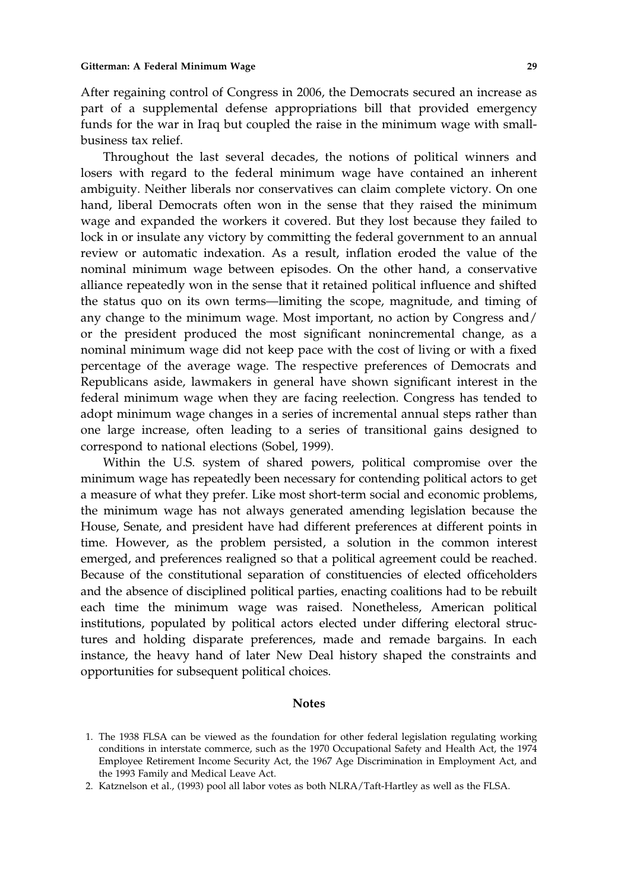#### Gitterman: A Federal Minimum Wage 29

After regaining control of Congress in 2006, the Democrats secured an increase as part of a supplemental defense appropriations bill that provided emergency funds for the war in Iraq but coupled the raise in the minimum wage with smallbusiness tax relief.

Throughout the last several decades, the notions of political winners and losers with regard to the federal minimum wage have contained an inherent ambiguity. Neither liberals nor conservatives can claim complete victory. On one hand, liberal Democrats often won in the sense that they raised the minimum wage and expanded the workers it covered. But they lost because they failed to lock in or insulate any victory by committing the federal government to an annual review or automatic indexation. As a result, inflation eroded the value of the nominal minimum wage between episodes. On the other hand, a conservative alliance repeatedly won in the sense that it retained political influence and shifted the status quo on its own terms—limiting the scope, magnitude, and timing of any change to the minimum wage. Most important, no action by Congress and/ or the president produced the most significant nonincremental change, as a nominal minimum wage did not keep pace with the cost of living or with a fixed percentage of the average wage. The respective preferences of Democrats and Republicans aside, lawmakers in general have shown significant interest in the federal minimum wage when they are facing reelection. Congress has tended to adopt minimum wage changes in a series of incremental annual steps rather than one large increase, often leading to a series of transitional gains designed to correspond to national elections (Sobel, 1999).

Within the U.S. system of shared powers, political compromise over the minimum wage has repeatedly been necessary for contending political actors to get a measure of what they prefer. Like most short-term social and economic problems, the minimum wage has not always generated amending legislation because the House, Senate, and president have had different preferences at different points in time. However, as the problem persisted, a solution in the common interest emerged, and preferences realigned so that a political agreement could be reached. Because of the constitutional separation of constituencies of elected officeholders and the absence of disciplined political parties, enacting coalitions had to be rebuilt each time the minimum wage was raised. Nonetheless, American political institutions, populated by political actors elected under differing electoral structures and holding disparate preferences, made and remade bargains. In each instance, the heavy hand of later New Deal history shaped the constraints and opportunities for subsequent political choices.

# **Notes**

<sup>1.</sup> The 1938 FLSA can be viewed as the foundation for other federal legislation regulating working conditions in interstate commerce, such as the 1970 Occupational Safety and Health Act, the 1974 Employee Retirement Income Security Act, the 1967 Age Discrimination in Employment Act, and the 1993 Family and Medical Leave Act.

<sup>2.</sup> Katznelson et al., (1993) pool all labor votes as both NLRA/Taft-Hartley as well as the FLSA.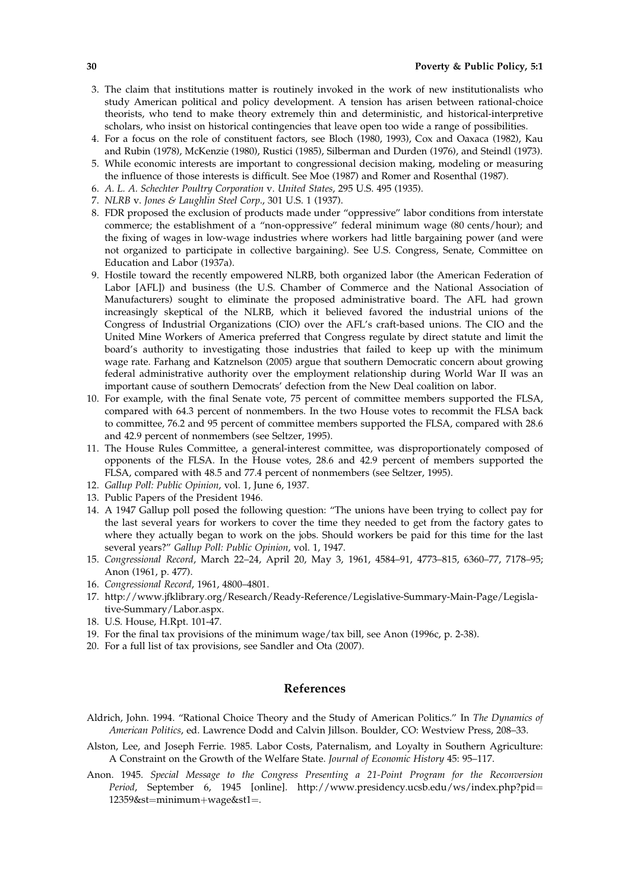- 3. The claim that institutions matter is routinely invoked in the work of new institutionalists who study American political and policy development. A tension has arisen between rational-choice theorists, who tend to make theory extremely thin and deterministic, and historical-interpretive scholars, who insist on historical contingencies that leave open too wide a range of possibilities.
- 4. For a focus on the role of constituent factors, see Bloch (1980, 1993), Cox and Oaxaca (1982), Kau and Rubin (1978), McKenzie (1980), Rustici (1985), Silberman and Durden (1976), and Steindl (1973).
- 5. While economic interests are important to congressional decision making, modeling or measuring the influence of those interests is difficult. See Moe (1987) and Romer and Rosenthal (1987).
- 6. A. L. A. Schechter Poultry Corporation v. United States, 295 U.S. 495 (1935).
- 7. NLRB v. Jones & Laughlin Steel Corp., 301 U.S. 1 (1937).
- 8. FDR proposed the exclusion of products made under "oppressive" labor conditions from interstate commerce; the establishment of a "non-oppressive" federal minimum wage (80 cents/hour); and the fixing of wages in low-wage industries where workers had little bargaining power (and were not organized to participate in collective bargaining). See U.S. Congress, Senate, Committee on Education and Labor (1937a).
- 9. Hostile toward the recently empowered NLRB, both organized labor (the American Federation of Labor [AFL]) and business (the U.S. Chamber of Commerce and the National Association of Manufacturers) sought to eliminate the proposed administrative board. The AFL had grown increasingly skeptical of the NLRB, which it believed favored the industrial unions of the Congress of Industrial Organizations (CIO) over the AFL's craft-based unions. The CIO and the United Mine Workers of America preferred that Congress regulate by direct statute and limit the board's authority to investigating those industries that failed to keep up with the minimum wage rate. Farhang and Katznelson (2005) argue that southern Democratic concern about growing federal administrative authority over the employment relationship during World War II was an important cause of southern Democrats' defection from the New Deal coalition on labor.
- 10. For example, with the final Senate vote, 75 percent of committee members supported the FLSA, compared with 64.3 percent of nonmembers. In the two House votes to recommit the FLSA back to committee, 76.2 and 95 percent of committee members supported the FLSA, compared with 28.6 and 42.9 percent of nonmembers (see Seltzer, 1995).
- 11. The House Rules Committee, a general-interest committee, was disproportionately composed of opponents of the FLSA. In the House votes, 28.6 and 42.9 percent of members supported the FLSA, compared with 48.5 and 77.4 percent of nonmembers (see Seltzer, 1995).
- 12. Gallup Poll: Public Opinion, vol. 1, June 6, 1937.
- 13. Public Papers of the President 1946.
- 14. A 1947 Gallup poll posed the following question: "The unions have been trying to collect pay for the last several years for workers to cover the time they needed to get from the factory gates to where they actually began to work on the jobs. Should workers be paid for this time for the last several years?" Gallup Poll: Public Opinion, vol. 1, 1947.
- 15. Congressional Record, March 22–24, April 20, May 3, 1961, 4584–91, 4773–815, 6360–77, 7178–95; Anon (1961, p. 477).
- 16. Congressional Record, 1961, 4800–4801.
- 17. http://www.jfklibrary.org/Research/Ready-Reference/Legislative-Summary-Main-Page/Legislative-Summary/Labor.aspx.
- 18. U.S. House, H.Rpt. 101-47.
- 19. For the final tax provisions of the minimum wage/tax bill, see Anon (1996c, p. 2-38).
- 20. For a full list of tax provisions, see Sandler and Ota (2007).

# References

- Aldrich, John. 1994. "Rational Choice Theory and the Study of American Politics." In The Dynamics of American Politics, ed. Lawrence Dodd and Calvin Jillson. Boulder, CO: Westview Press, 208–33.
- Alston, Lee, and Joseph Ferrie. 1985. Labor Costs, Paternalism, and Loyalty in Southern Agriculture: A Constraint on the Growth of the Welfare State. Journal of Economic History 45: 95–117.
- Anon. 1945. Special Message to the Congress Presenting a 21-Point Program for the Reconversion Period, September 6, 1945 [online]. http://www.presidency.ucsb.edu/ws/index.php?pid= 12359&st=minimum+wage&st1=.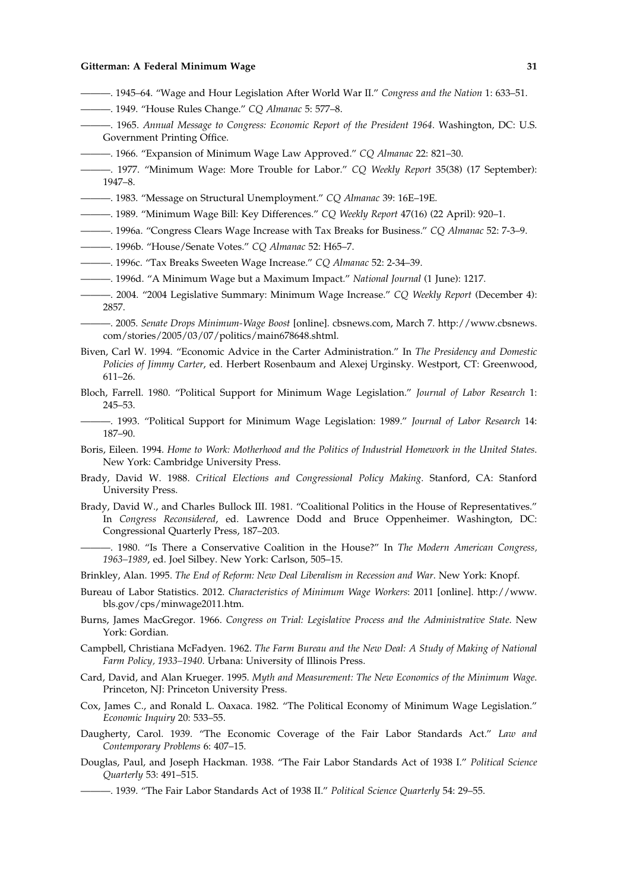#### Gitterman: A Federal Minimum Wage 31

- —. 1945–64. "Wage and Hour Legislation After World War II." Congress and the Nation 1: 633–51.
- —. 1949. "House Rules Change." CQ Almanac 5: 577–8.
- ———. 1965. Annual Message to Congress: Economic Report of the President 1964. Washington, DC: U.S. Government Printing Office.
- 1966. "Expansion of Minimum Wage Law Approved." CQ Almanac 22: 821-30.
- ———. 1977. "Minimum Wage: More Trouble for Labor." CQ Weekly Report 35(38) (17 September): 1947–8.
- 1983. "Message on Structural Unemployment." CQ Almanac 39: 16E-19E.
- ———. 1989. "Minimum Wage Bill: Key Differences." CQ Weekly Report 47(16) (22 April): 920–1.
- ——. 1996a. "Congress Clears Wage Increase with Tax Breaks for Business." CQ Almanac 52: 7-3-9.
- ———. 1996b. "House/Senate Votes." CQ Almanac 52: H65–7.
- 1996c. "Tax Breaks Sweeten Wage Increase." CQ Almanac 52: 2-34-39.
- —. 1996d. "A Minimum Wage but a Maximum Impact." National Journal (1 June): 1217.
- -. 2004. "2004 Legislative Summary: Minimum Wage Increase." CQ Weekly Report (December 4): 2857.

———. 2005. Senate Drops Minimum-Wage Boost [online]. cbsnews.com, March 7. http://www.cbsnews. com/stories/2005/03/07/politics/main678648.shtml.

- Biven, Carl W. 1994. "Economic Advice in the Carter Administration." In The Presidency and Domestic Policies of Jimmy Carter, ed. Herbert Rosenbaum and Alexej Urginsky. Westport, CT: Greenwood, 611–26.
- Bloch, Farrell. 1980. "Political Support for Minimum Wage Legislation." Journal of Labor Research 1: 245–53.
	- ———. 1993. "Political Support for Minimum Wage Legislation: 1989." Journal of Labor Research 14: 187–90.
- Boris, Eileen. 1994. Home to Work: Motherhood and the Politics of Industrial Homework in the United States. New York: Cambridge University Press.
- Brady, David W. 1988. Critical Elections and Congressional Policy Making. Stanford, CA: Stanford University Press.
- Brady, David W., and Charles Bullock III. 1981. "Coalitional Politics in the House of Representatives." In Congress Reconsidered, ed. Lawrence Dodd and Bruce Oppenheimer. Washington, DC: Congressional Quarterly Press, 187–203.
	- -. 1980. "Is There a Conservative Coalition in the House?" In The Modern American Congress, 1963–1989, ed. Joel Silbey. New York: Carlson, 505–15.
- Brinkley, Alan. 1995. The End of Reform: New Deal Liberalism in Recession and War. New York: Knopf.
- Bureau of Labor Statistics. 2012. Characteristics of Minimum Wage Workers: 2011 [online]. http://www. bls.gov/cps/minwage2011.htm.
- Burns, James MacGregor. 1966. Congress on Trial: Legislative Process and the Administrative State. New York: Gordian.
- Campbell, Christiana McFadyen. 1962. The Farm Bureau and the New Deal: A Study of Making of National Farm Policy, 1933–1940. Urbana: University of Illinois Press.
- Card, David, and Alan Krueger. 1995. Myth and Measurement: The New Economics of the Minimum Wage. Princeton, NJ: Princeton University Press.
- Cox, James C., and Ronald L. Oaxaca. 1982. "The Political Economy of Minimum Wage Legislation." Economic Inquiry 20: 533–55.
- Daugherty, Carol. 1939. "The Economic Coverage of the Fair Labor Standards Act." Law and Contemporary Problems 6: 407–15.
- Douglas, Paul, and Joseph Hackman. 1938. "The Fair Labor Standards Act of 1938 I." Political Science Quarterly 53: 491–515.
	- ———. 1939. "The Fair Labor Standards Act of 1938 II." Political Science Quarterly 54: 29–55.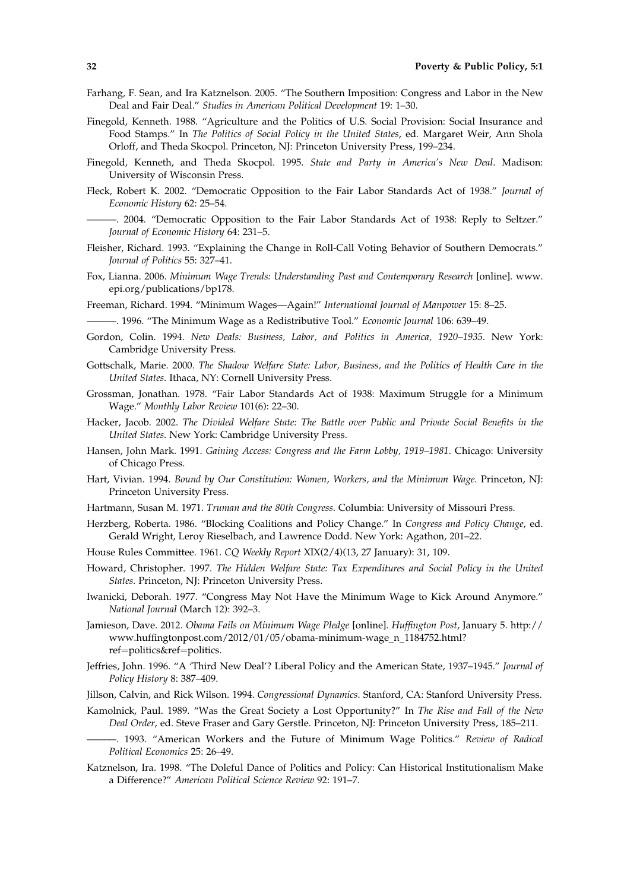- Farhang, F. Sean, and Ira Katznelson. 2005. "The Southern Imposition: Congress and Labor in the New Deal and Fair Deal." Studies in American Political Development 19: 1–30.
- Finegold, Kenneth. 1988. "Agriculture and the Politics of U.S. Social Provision: Social Insurance and Food Stamps." In The Politics of Social Policy in the United States, ed. Margaret Weir, Ann Shola Orloff, and Theda Skocpol. Princeton, NJ: Princeton University Press, 199–234.
- Finegold, Kenneth, and Theda Skocpol. 1995. State and Party in America's New Deal. Madison: University of Wisconsin Press.
- Fleck, Robert K. 2002. "Democratic Opposition to the Fair Labor Standards Act of 1938." Journal of Economic History 62: 25–54.
	- ———. 2004. "Democratic Opposition to the Fair Labor Standards Act of 1938: Reply to Seltzer." Journal of Economic History 64: 231–5.
- Fleisher, Richard. 1993. "Explaining the Change in Roll-Call Voting Behavior of Southern Democrats." Journal of Politics 55: 327–41.
- Fox, Lianna. 2006. Minimum Wage Trends: Understanding Past and Contemporary Research [online]. www. epi.org/publications/bp178.
- Freeman, Richard. 1994. "Minimum Wages—Again!" International Journal of Manpower 15: 8–25.
- ———. 1996. "The Minimum Wage as a Redistributive Tool." Economic Journal 106: 639–49.
- Gordon, Colin. 1994. New Deals: Business, Labor, and Politics in America, 1920–1935. New York: Cambridge University Press.
- Gottschalk, Marie. 2000. The Shadow Welfare State: Labor, Business, and the Politics of Health Care in the United States. Ithaca, NY: Cornell University Press.
- Grossman, Jonathan. 1978. "Fair Labor Standards Act of 1938: Maximum Struggle for a Minimum Wage." Monthly Labor Review 101(6): 22–30.
- Hacker, Jacob. 2002. The Divided Welfare State: The Battle over Public and Private Social Benefits in the United States. New York: Cambridge University Press.
- Hansen, John Mark. 1991. Gaining Access: Congress and the Farm Lobby, 1919–1981. Chicago: University of Chicago Press.
- Hart, Vivian. 1994. Bound by Our Constitution: Women, Workers, and the Minimum Wage. Princeton, NJ: Princeton University Press.
- Hartmann, Susan M. 1971. Truman and the 80th Congress. Columbia: University of Missouri Press.
- Herzberg, Roberta. 1986. "Blocking Coalitions and Policy Change." In Congress and Policy Change, ed. Gerald Wright, Leroy Rieselbach, and Lawrence Dodd. New York: Agathon, 201–22.
- House Rules Committee. 1961. CQ Weekly Report XIX(2/4)(13, 27 January): 31, 109.
- Howard, Christopher. 1997. The Hidden Welfare State: Tax Expenditures and Social Policy in the United States. Princeton, NJ: Princeton University Press.
- Iwanicki, Deborah. 1977. "Congress May Not Have the Minimum Wage to Kick Around Anymore." National Journal (March 12): 392–3.
- Jamieson, Dave. 2012. Obama Fails on Minimum Wage Pledge [online]. Huffington Post, January 5. http:// www.huffingtonpost.com/2012/01/05/obama-minimum-wage\_n\_1184752.html? ref=politics&ref=politics.
- Jeffries, John. 1996. "A 'Third New Deal'? Liberal Policy and the American State, 1937–1945." Journal of Policy History 8: 387–409.
- Jillson, Calvin, and Rick Wilson. 1994. Congressional Dynamics. Stanford, CA: Stanford University Press.
- Kamolnick, Paul. 1989. "Was the Great Society a Lost Opportunity?" In The Rise and Fall of the New Deal Order, ed. Steve Fraser and Gary Gerstle. Princeton, NJ: Princeton University Press, 185–211.
	- -. 1993. "American Workers and the Future of Minimum Wage Politics." Review of Radical Political Economics 25: 26–49.
- Katznelson, Ira. 1998. "The Doleful Dance of Politics and Policy: Can Historical Institutionalism Make a Difference?" American Political Science Review 92: 191–7.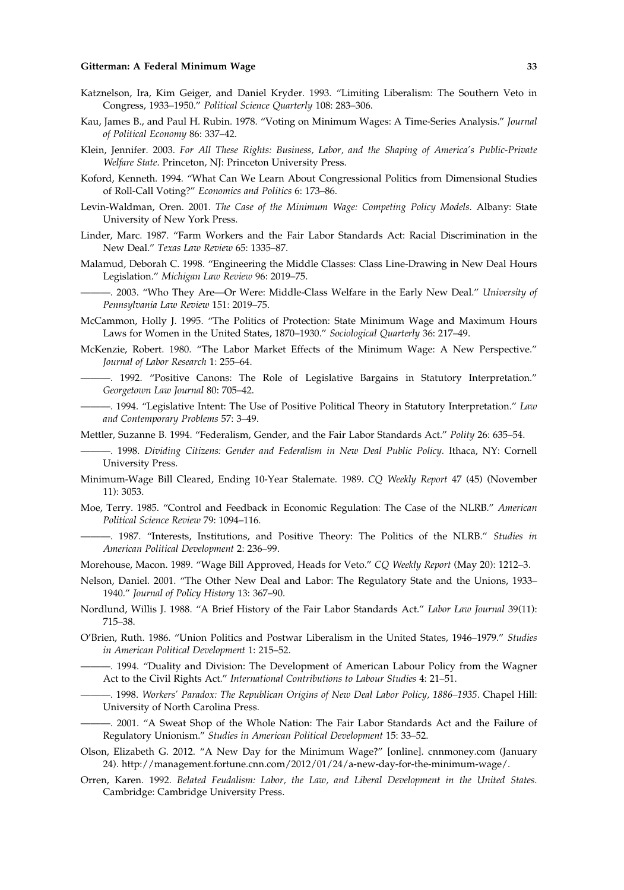#### Gitterman: A Federal Minimum Wage 33

- Katznelson, Ira, Kim Geiger, and Daniel Kryder. 1993. "Limiting Liberalism: The Southern Veto in Congress, 1933–1950." Political Science Quarterly 108: 283–306.
- Kau, James B., and Paul H. Rubin. 1978. "Voting on Minimum Wages: A Time-Series Analysis." Journal of Political Economy 86: 337–42.
- Klein, Jennifer. 2003. For All These Rights: Business, Labor, and the Shaping of America's Public-Private Welfare State. Princeton, NJ: Princeton University Press.
- Koford, Kenneth. 1994. "What Can We Learn About Congressional Politics from Dimensional Studies of Roll-Call Voting?" Economics and Politics 6: 173–86.
- Levin-Waldman, Oren. 2001. The Case of the Minimum Wage: Competing Policy Models. Albany: State University of New York Press.
- Linder, Marc. 1987. "Farm Workers and the Fair Labor Standards Act: Racial Discrimination in the New Deal." Texas Law Review 65: 1335–87.
- Malamud, Deborah C. 1998. "Engineering the Middle Classes: Class Line-Drawing in New Deal Hours Legislation." Michigan Law Review 96: 2019–75.
	- -. 2003. "Who They Are-Or Were: Middle-Class Welfare in the Early New Deal." University of Pennsylvania Law Review 151: 2019–75.
- McCammon, Holly J. 1995. "The Politics of Protection: State Minimum Wage and Maximum Hours Laws for Women in the United States, 1870–1930." Sociological Quarterly 36: 217–49.
- McKenzie, Robert. 1980. "The Labor Market Effects of the Minimum Wage: A New Perspective." Journal of Labor Research 1: 255–64.
	- -. 1992. "Positive Canons: The Role of Legislative Bargains in Statutory Interpretation." Georgetown Law Journal 80: 705–42.
	- ———. 1994. "Legislative Intent: The Use of Positive Political Theory in Statutory Interpretation." Law and Contemporary Problems 57: 3–49.
- Mettler, Suzanne B. 1994. "Federalism, Gender, and the Fair Labor Standards Act." Polity 26: 635–54.
- ———. 1998. Dividing Citizens: Gender and Federalism in New Deal Public Policy. Ithaca, NY: Cornell University Press.
- Minimum-Wage Bill Cleared, Ending 10-Year Stalemate. 1989. CQ Weekly Report 47 (45) (November 11): 3053.
- Moe, Terry. 1985. "Control and Feedback in Economic Regulation: The Case of the NLRB." American Political Science Review 79: 1094–116.
	- ———. 1987. "Interests, Institutions, and Positive Theory: The Politics of the NLRB." Studies in American Political Development 2: 236–99.
- Morehouse, Macon. 1989. "Wage Bill Approved, Heads for Veto." CQ Weekly Report (May 20): 1212–3.
- Nelson, Daniel. 2001. "The Other New Deal and Labor: The Regulatory State and the Unions, 1933– 1940." Journal of Policy History 13: 367–90.
- Nordlund, Willis J. 1988. "A Brief History of the Fair Labor Standards Act." Labor Law Journal 39(11): 715–38.
- O'Brien, Ruth. 1986. "Union Politics and Postwar Liberalism in the United States, 1946–1979." Studies in American Political Development 1: 215–52.
	- ———. 1994. "Duality and Division: The Development of American Labour Policy from the Wagner Act to the Civil Rights Act." International Contributions to Labour Studies 4: 21–51.
	- ———. 1998. Workers' Paradox: The Republican Origins of New Deal Labor Policy, 1886–1935. Chapel Hill: University of North Carolina Press.
	- -. 2001. "A Sweat Shop of the Whole Nation: The Fair Labor Standards Act and the Failure of Regulatory Unionism." Studies in American Political Development 15: 33–52.
- Olson, Elizabeth G. 2012. "A New Day for the Minimum Wage?" [online]. cnnmoney.com (January 24). http://management.fortune.cnn.com/2012/01/24/a-new-day-for-the-minimum-wage/.
- Orren, Karen. 1992. Belated Feudalism: Labor, the Law, and Liberal Development in the United States. Cambridge: Cambridge University Press.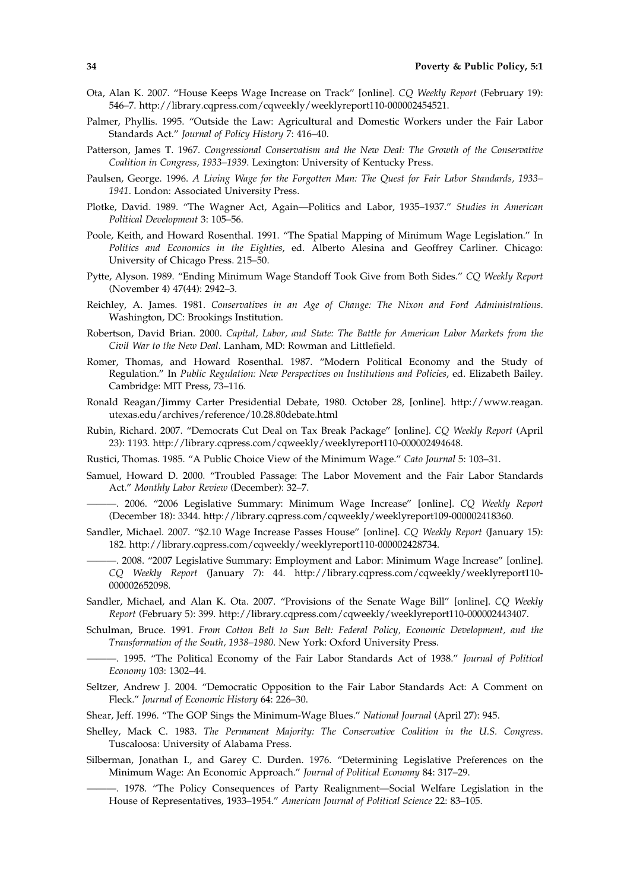- Ota, Alan K. 2007. "House Keeps Wage Increase on Track" [online]. CQ Weekly Report (February 19): 546–7. http://library.cqpress.com/cqweekly/weeklyreport110-000002454521.
- Palmer, Phyllis. 1995. "Outside the Law: Agricultural and Domestic Workers under the Fair Labor Standards Act." Journal of Policy History 7: 416–40.
- Patterson, James T. 1967. Congressional Conservatism and the New Deal: The Growth of the Conservative Coalition in Congress, 1933–1939. Lexington: University of Kentucky Press.
- Paulsen, George. 1996. A Living Wage for the Forgotten Man: The Quest for Fair Labor Standards, 1933-1941. London: Associated University Press.
- Plotke, David. 1989. "The Wagner Act, Again—Politics and Labor, 1935–1937." Studies in American Political Development 3: 105–56.
- Poole, Keith, and Howard Rosenthal. 1991. "The Spatial Mapping of Minimum Wage Legislation." In Politics and Economics in the Eighties, ed. Alberto Alesina and Geoffrey Carliner. Chicago: University of Chicago Press. 215–50.
- Pytte, Alyson. 1989. "Ending Minimum Wage Standoff Took Give from Both Sides." CQ Weekly Report (November 4) 47(44): 2942–3.
- Reichley, A. James. 1981. Conservatives in an Age of Change: The Nixon and Ford Administrations. Washington, DC: Brookings Institution.
- Robertson, David Brian. 2000. Capital, Labor, and State: The Battle for American Labor Markets from the Civil War to the New Deal. Lanham, MD: Rowman and Littlefield.
- Romer, Thomas, and Howard Rosenthal. 1987. "Modern Political Economy and the Study of Regulation." In Public Regulation: New Perspectives on Institutions and Policies, ed. Elizabeth Bailey. Cambridge: MIT Press, 73–116.
- Ronald Reagan/Jimmy Carter Presidential Debate, 1980. October 28, [online]. http://www.reagan. utexas.edu/archives/reference/10.28.80debate.html
- Rubin, Richard. 2007. "Democrats Cut Deal on Tax Break Package" [online]. CQ Weekly Report (April 23): 1193. http://library.cqpress.com/cqweekly/weeklyreport110-000002494648.
- Rustici, Thomas. 1985. "A Public Choice View of the Minimum Wage." Cato Journal 5: 103–31.
- Samuel, Howard D. 2000. "Troubled Passage: The Labor Movement and the Fair Labor Standards Act." Monthly Labor Review (December): 32–7.
- 2006. "2006 Legislative Summary: Minimum Wage Increase" [online]. CQ Weekly Report (December 18): 3344. http://library.cqpress.com/cqweekly/weeklyreport109-000002418360.
- Sandler, Michael. 2007. "\$2.10 Wage Increase Passes House" [online]. CQ Weekly Report (January 15): 182. http://library.cqpress.com/cqweekly/weeklyreport110-000002428734.
	- ———. 2008. "2007 Legislative Summary: Employment and Labor: Minimum Wage Increase" [online]. CQ Weekly Report (January 7): 44. http://library.cqpress.com/cqweekly/weeklyreport110- 000002652098.
- Sandler, Michael, and Alan K. Ota. 2007. "Provisions of the Senate Wage Bill" [online]. CQ Weekly Report (February 5): 399. http://library.cqpress.com/cqweekly/weeklyreport110-000002443407.
- Schulman, Bruce. 1991. From Cotton Belt to Sun Belt: Federal Policy, Economic Development, and the Transformation of the South, 1938–1980. New York: Oxford University Press.
- ———. 1995. "The Political Economy of the Fair Labor Standards Act of 1938." Journal of Political Economy 103: 1302–44.
- Seltzer, Andrew J. 2004. "Democratic Opposition to the Fair Labor Standards Act: A Comment on Fleck." Journal of Economic History 64: 226–30.
- Shear, Jeff. 1996. "The GOP Sings the Minimum-Wage Blues." National Journal (April 27): 945.
- Shelley, Mack C. 1983. The Permanent Majority: The Conservative Coalition in the U.S. Congress. Tuscaloosa: University of Alabama Press.
- Silberman, Jonathan I., and Garey C. Durden. 1976. "Determining Legislative Preferences on the Minimum Wage: An Economic Approach." Journal of Political Economy 84: 317–29.

———. 1978. "The Policy Consequences of Party Realignment—Social Welfare Legislation in the House of Representatives, 1933–1954." American Journal of Political Science 22: 83–105.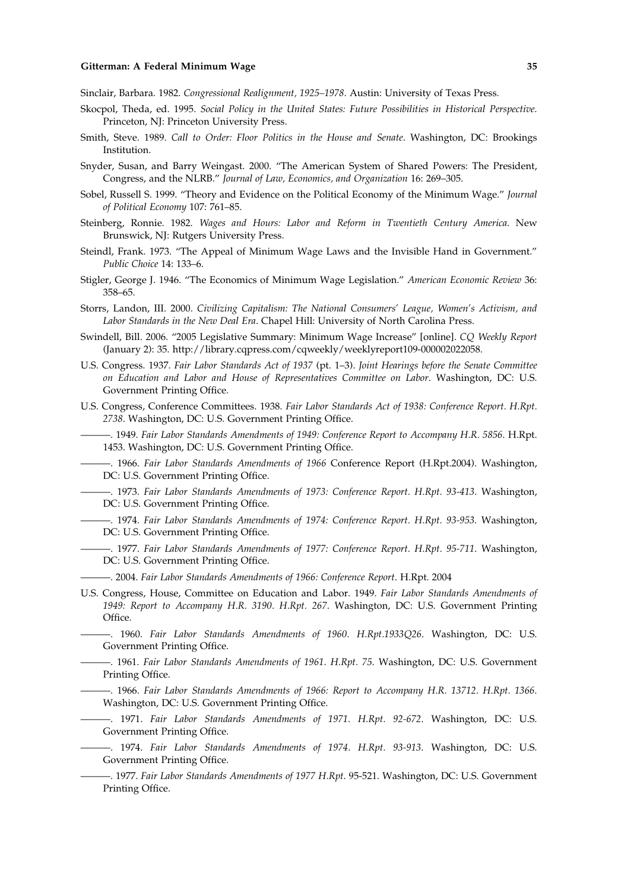#### Gitterman: A Federal Minimum Wage 35

Sinclair, Barbara. 1982. Congressional Realignment, 1925–1978. Austin: University of Texas Press.

- Skocpol, Theda, ed. 1995. Social Policy in the United States: Future Possibilities in Historical Perspective. Princeton, NJ: Princeton University Press.
- Smith, Steve. 1989. Call to Order: Floor Politics in the House and Senate. Washington, DC: Brookings **Institution**
- Snyder, Susan, and Barry Weingast. 2000. "The American System of Shared Powers: The President, Congress, and the NLRB." Journal of Law, Economics, and Organization 16: 269–305.
- Sobel, Russell S. 1999. "Theory and Evidence on the Political Economy of the Minimum Wage." Journal of Political Economy 107: 761–85.
- Steinberg, Ronnie. 1982. Wages and Hours: Labor and Reform in Twentieth Century America. New Brunswick, NJ: Rutgers University Press.
- Steindl, Frank. 1973. "The Appeal of Minimum Wage Laws and the Invisible Hand in Government." Public Choice 14: 133–6.
- Stigler, George J. 1946. "The Economics of Minimum Wage Legislation." American Economic Review 36: 358–65.
- Storrs, Landon, III. 2000. Civilizing Capitalism: The National Consumers' League, Women's Activism, and Labor Standards in the New Deal Era. Chapel Hill: University of North Carolina Press.
- Swindell, Bill. 2006. "2005 Legislative Summary: Minimum Wage Increase" [online]. CQ Weekly Report (January 2): 35. http://library.cqpress.com/cqweekly/weeklyreport109-000002022058.
- U.S. Congress. 1937. Fair Labor Standards Act of 1937 (pt. 1–3). Joint Hearings before the Senate Committee on Education and Labor and House of Representatives Committee on Labor. Washington, DC: U.S. Government Printing Office.
- U.S. Congress, Conference Committees. 1938. Fair Labor Standards Act of 1938: Conference Report. H.Rpt. 2738. Washington, DC: U.S. Government Printing Office.

———. 1949. Fair Labor Standards Amendments of 1949: Conference Report to Accompany H.R. 5856. H.Rpt. 1453. Washington, DC: U.S. Government Printing Office.

- -. 1966. Fair Labor Standards Amendments of 1966 Conference Report (H.Rpt.2004). Washington, DC: U.S. Government Printing Office.
- ———. 1973. Fair Labor Standards Amendments of 1973: Conference Report. H.Rpt. 93-413. Washington, DC: U.S. Government Printing Office.
- ———. 1974. Fair Labor Standards Amendments of 1974: Conference Report. H.Rpt. 93-953. Washington, DC: U.S. Government Printing Office.
- ———. 1977. Fair Labor Standards Amendments of 1977: Conference Report. H.Rpt. 95-711. Washington, DC: U.S. Government Printing Office.
- ———. 2004. Fair Labor Standards Amendments of 1966: Conference Report. H.Rpt. 2004
- U.S. Congress, House, Committee on Education and Labor. 1949. Fair Labor Standards Amendments of 1949: Report to Accompany H.R. 3190. H.Rpt. 267. Washington, DC: U.S. Government Printing Office.
- ———. 1960. Fair Labor Standards Amendments of 1960. H.Rpt.1933Q26. Washington, DC: U.S. Government Printing Office.
- -. 1961. Fair Labor Standards Amendments of 1961. H.Rpt. 75. Washington, DC: U.S. Government Printing Office.
- ———. 1966. Fair Labor Standards Amendments of 1966: Report to Accompany H.R. 13712. H.Rpt. 1366. Washington, DC: U.S. Government Printing Office.
	- ———. 1971. Fair Labor Standards Amendments of 1971. H.Rpt. 92-672. Washington, DC: U.S. Government Printing Office.
- ———. 1974. Fair Labor Standards Amendments of 1974. H.Rpt. 93-913. Washington, DC: U.S. Government Printing Office.
	- ———. 1977. Fair Labor Standards Amendments of 1977 H.Rpt. 95-521. Washington, DC: U.S. Government Printing Office.